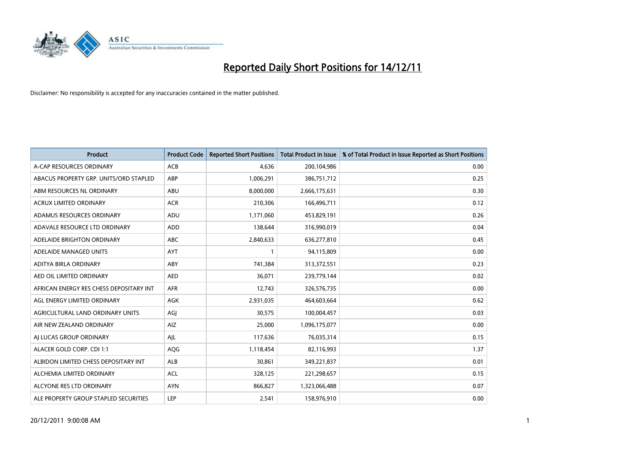

| <b>Product</b>                          | <b>Product Code</b> | <b>Reported Short Positions</b> | <b>Total Product in Issue</b> | % of Total Product in Issue Reported as Short Positions |
|-----------------------------------------|---------------------|---------------------------------|-------------------------------|---------------------------------------------------------|
| A-CAP RESOURCES ORDINARY                | <b>ACB</b>          | 4,636                           | 200,104,986                   | 0.00                                                    |
| ABACUS PROPERTY GRP. UNITS/ORD STAPLED  | ABP                 | 1,006,291                       | 386,751,712                   | 0.25                                                    |
| ABM RESOURCES NL ORDINARY               | <b>ABU</b>          | 8,000,000                       | 2,666,175,631                 | 0.30                                                    |
| ACRUX LIMITED ORDINARY                  | <b>ACR</b>          | 210,306                         | 166,496,711                   | 0.12                                                    |
| ADAMUS RESOURCES ORDINARY               | ADU                 | 1,171,060                       | 453,829,191                   | 0.26                                                    |
| ADAVALE RESOURCE LTD ORDINARY           | ADD                 | 138,644                         | 316,990,019                   | 0.04                                                    |
| ADELAIDE BRIGHTON ORDINARY              | <b>ABC</b>          | 2,840,633                       | 636,277,810                   | 0.45                                                    |
| ADELAIDE MANAGED UNITS                  | <b>AYT</b>          |                                 | 94,115,809                    | 0.00                                                    |
| ADITYA BIRLA ORDINARY                   | <b>ABY</b>          | 741,384                         | 313,372,551                   | 0.23                                                    |
| AED OIL LIMITED ORDINARY                | <b>AED</b>          | 36,071                          | 239,779,144                   | 0.02                                                    |
| AFRICAN ENERGY RES CHESS DEPOSITARY INT | <b>AFR</b>          | 12,743                          | 326,576,735                   | 0.00                                                    |
| AGL ENERGY LIMITED ORDINARY             | AGK                 | 2,931,035                       | 464,603,664                   | 0.62                                                    |
| AGRICULTURAL LAND ORDINARY UNITS        | AGI                 | 30,575                          | 100,004,457                   | 0.03                                                    |
| AIR NEW ZEALAND ORDINARY                | <b>AIZ</b>          | 25.000                          | 1,096,175,077                 | 0.00                                                    |
| AI LUCAS GROUP ORDINARY                 | AIL                 | 117,636                         | 76,035,314                    | 0.15                                                    |
| ALACER GOLD CORP. CDI 1:1               | <b>AQG</b>          | 1,118,454                       | 82,116,993                    | 1.37                                                    |
| ALBIDON LIMITED CHESS DEPOSITARY INT    | ALB                 | 30,861                          | 349,221,837                   | 0.01                                                    |
| ALCHEMIA LIMITED ORDINARY               | <b>ACL</b>          | 328,125                         | 221,298,657                   | 0.15                                                    |
| ALCYONE RES LTD ORDINARY                | <b>AYN</b>          | 866,827                         | 1,323,066,488                 | 0.07                                                    |
| ALE PROPERTY GROUP STAPLED SECURITIES   | LEP                 | 2,541                           | 158,976,910                   | 0.00                                                    |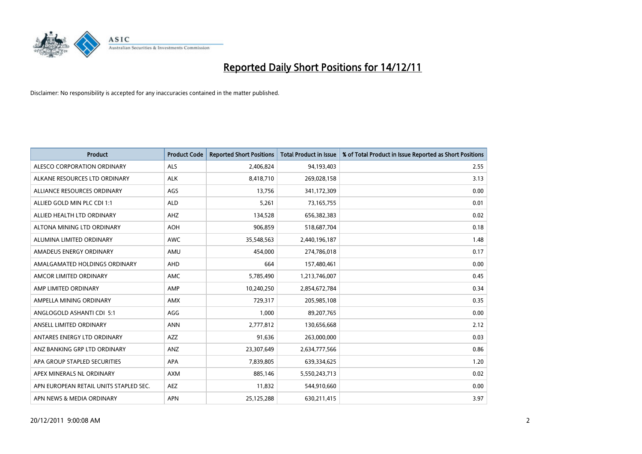

| <b>Product</b>                         | <b>Product Code</b> | <b>Reported Short Positions</b> | <b>Total Product in Issue</b> | % of Total Product in Issue Reported as Short Positions |
|----------------------------------------|---------------------|---------------------------------|-------------------------------|---------------------------------------------------------|
| ALESCO CORPORATION ORDINARY            | <b>ALS</b>          | 2,406,824                       | 94,193,403                    | 2.55                                                    |
| ALKANE RESOURCES LTD ORDINARY          | <b>ALK</b>          | 8,418,710                       | 269,028,158                   | 3.13                                                    |
| ALLIANCE RESOURCES ORDINARY            | AGS                 | 13,756                          | 341,172,309                   | 0.00                                                    |
| ALLIED GOLD MIN PLC CDI 1:1            | <b>ALD</b>          | 5,261                           | 73,165,755                    | 0.01                                                    |
| ALLIED HEALTH LTD ORDINARY             | AHZ                 | 134,528                         | 656,382,383                   | 0.02                                                    |
| ALTONA MINING LTD ORDINARY             | <b>AOH</b>          | 906,859                         | 518,687,704                   | 0.18                                                    |
| ALUMINA LIMITED ORDINARY               | <b>AWC</b>          | 35,548,563                      | 2,440,196,187                 | 1.48                                                    |
| AMADEUS ENERGY ORDINARY                | AMU                 | 454,000                         | 274,786,018                   | 0.17                                                    |
| AMALGAMATED HOLDINGS ORDINARY          | <b>AHD</b>          | 664                             | 157,480,461                   | 0.00                                                    |
| AMCOR LIMITED ORDINARY                 | <b>AMC</b>          | 5,785,490                       | 1,213,746,007                 | 0.45                                                    |
| AMP LIMITED ORDINARY                   | AMP                 | 10,240,250                      | 2,854,672,784                 | 0.34                                                    |
| AMPELLA MINING ORDINARY                | <b>AMX</b>          | 729,317                         | 205,985,108                   | 0.35                                                    |
| ANGLOGOLD ASHANTI CDI 5:1              | AGG                 | 1,000                           | 89,207,765                    | 0.00                                                    |
| ANSELL LIMITED ORDINARY                | <b>ANN</b>          | 2,777,812                       | 130,656,668                   | 2.12                                                    |
| ANTARES ENERGY LTD ORDINARY            | AZZ                 | 91,636                          | 263,000,000                   | 0.03                                                    |
| ANZ BANKING GRP LTD ORDINARY           | ANZ                 | 23,307,649                      | 2,634,777,566                 | 0.86                                                    |
| APA GROUP STAPLED SECURITIES           | <b>APA</b>          | 7,839,805                       | 639,334,625                   | 1.20                                                    |
| APEX MINERALS NL ORDINARY              | <b>AXM</b>          | 885,146                         | 5,550,243,713                 | 0.02                                                    |
| APN EUROPEAN RETAIL UNITS STAPLED SEC. | <b>AEZ</b>          | 11,832                          | 544,910,660                   | 0.00                                                    |
| APN NEWS & MEDIA ORDINARY              | <b>APN</b>          | 25,125,288                      | 630,211,415                   | 3.97                                                    |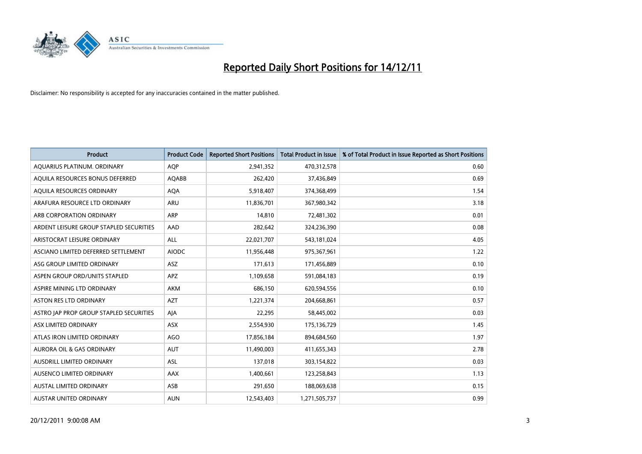

| <b>Product</b>                          | <b>Product Code</b> | <b>Reported Short Positions</b> | <b>Total Product in Issue</b> | % of Total Product in Issue Reported as Short Positions |
|-----------------------------------------|---------------------|---------------------------------|-------------------------------|---------------------------------------------------------|
| AQUARIUS PLATINUM. ORDINARY             | <b>AOP</b>          | 2,941,352                       | 470,312,578                   | 0.60                                                    |
| AQUILA RESOURCES BONUS DEFERRED         | <b>AQABB</b>        | 262,420                         | 37,436,849                    | 0.69                                                    |
| AQUILA RESOURCES ORDINARY               | <b>AQA</b>          | 5,918,407                       | 374,368,499                   | 1.54                                                    |
| ARAFURA RESOURCE LTD ORDINARY           | <b>ARU</b>          | 11,836,701                      | 367,980,342                   | 3.18                                                    |
| ARB CORPORATION ORDINARY                | <b>ARP</b>          | 14,810                          | 72,481,302                    | 0.01                                                    |
| ARDENT LEISURE GROUP STAPLED SECURITIES | AAD                 | 282,642                         | 324,236,390                   | 0.08                                                    |
| ARISTOCRAT LEISURE ORDINARY             | ALL                 | 22,021,707                      | 543,181,024                   | 4.05                                                    |
| ASCIANO LIMITED DEFERRED SETTLEMENT     | <b>AIODC</b>        | 11,956,448                      | 975,367,961                   | 1.22                                                    |
| ASG GROUP LIMITED ORDINARY              | <b>ASZ</b>          | 171,613                         | 171,456,889                   | 0.10                                                    |
| ASPEN GROUP ORD/UNITS STAPLED           | <b>APZ</b>          | 1,109,658                       | 591,084,183                   | 0.19                                                    |
| ASPIRE MINING LTD ORDINARY              | <b>AKM</b>          | 686,150                         | 620,594,556                   | 0.10                                                    |
| <b>ASTON RES LTD ORDINARY</b>           | <b>AZT</b>          | 1,221,374                       | 204,668,861                   | 0.57                                                    |
| ASTRO JAP PROP GROUP STAPLED SECURITIES | AIA                 | 22,295                          | 58,445,002                    | 0.03                                                    |
| ASX LIMITED ORDINARY                    | ASX                 | 2,554,930                       | 175,136,729                   | 1.45                                                    |
| ATLAS IRON LIMITED ORDINARY             | <b>AGO</b>          | 17,856,184                      | 894,684,560                   | 1.97                                                    |
| AURORA OIL & GAS ORDINARY               | <b>AUT</b>          | 11,490,003                      | 411,655,343                   | 2.78                                                    |
| AUSDRILL LIMITED ORDINARY               | ASL                 | 137,018                         | 303,154,822                   | 0.03                                                    |
| AUSENCO LIMITED ORDINARY                | AAX                 | 1,400,661                       | 123,258,843                   | 1.13                                                    |
| <b>AUSTAL LIMITED ORDINARY</b>          | ASB                 | 291,650                         | 188,069,638                   | 0.15                                                    |
| AUSTAR UNITED ORDINARY                  | <b>AUN</b>          | 12,543,403                      | 1,271,505,737                 | 0.99                                                    |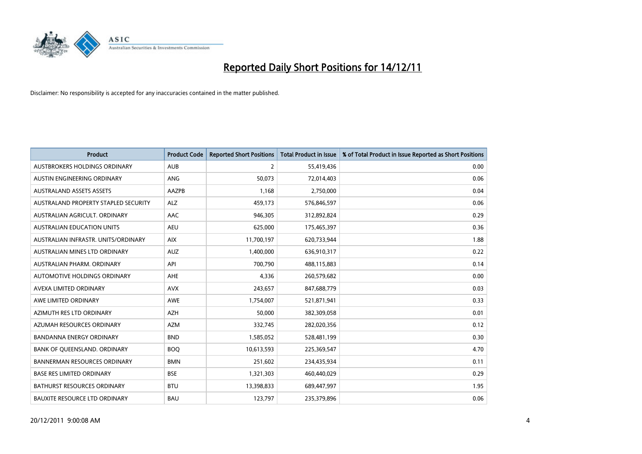

| <b>Product</b>                       | <b>Product Code</b> | <b>Reported Short Positions</b> | <b>Total Product in Issue</b> | % of Total Product in Issue Reported as Short Positions |
|--------------------------------------|---------------------|---------------------------------|-------------------------------|---------------------------------------------------------|
| AUSTBROKERS HOLDINGS ORDINARY        | <b>AUB</b>          | $\overline{2}$                  | 55,419,436                    | 0.00                                                    |
| AUSTIN ENGINEERING ORDINARY          | <b>ANG</b>          | 50,073                          | 72,014,403                    | 0.06                                                    |
| <b>AUSTRALAND ASSETS ASSETS</b>      | AAZPB               | 1,168                           | 2,750,000                     | 0.04                                                    |
| AUSTRALAND PROPERTY STAPLED SECURITY | <b>ALZ</b>          | 459,173                         | 576,846,597                   | 0.06                                                    |
| AUSTRALIAN AGRICULT, ORDINARY        | AAC                 | 946,305                         | 312,892,824                   | 0.29                                                    |
| AUSTRALIAN EDUCATION UNITS           | <b>AEU</b>          | 625,000                         | 175,465,397                   | 0.36                                                    |
| AUSTRALIAN INFRASTR, UNITS/ORDINARY  | <b>AIX</b>          | 11,700,197                      | 620,733,944                   | 1.88                                                    |
| <b>AUSTRALIAN MINES LTD ORDINARY</b> | <b>AUZ</b>          | 1,400,000                       | 636,910,317                   | 0.22                                                    |
| AUSTRALIAN PHARM, ORDINARY           | API                 | 700,790                         | 488,115,883                   | 0.14                                                    |
| AUTOMOTIVE HOLDINGS ORDINARY         | <b>AHE</b>          | 4,336                           | 260,579,682                   | 0.00                                                    |
| AVEXA LIMITED ORDINARY               | <b>AVX</b>          | 243,657                         | 847,688,779                   | 0.03                                                    |
| AWE LIMITED ORDINARY                 | AWE                 | 1,754,007                       | 521,871,941                   | 0.33                                                    |
| AZIMUTH RES LTD ORDINARY             | <b>AZH</b>          | 50,000                          | 382,309,058                   | 0.01                                                    |
| AZUMAH RESOURCES ORDINARY            | <b>AZM</b>          | 332,745                         | 282,020,356                   | 0.12                                                    |
| <b>BANDANNA ENERGY ORDINARY</b>      | <b>BND</b>          | 1,585,052                       | 528,481,199                   | 0.30                                                    |
| BANK OF QUEENSLAND. ORDINARY         | <b>BOQ</b>          | 10,613,593                      | 225,369,547                   | 4.70                                                    |
| <b>BANNERMAN RESOURCES ORDINARY</b>  | <b>BMN</b>          | 251,602                         | 234,435,934                   | 0.11                                                    |
| <b>BASE RES LIMITED ORDINARY</b>     | <b>BSE</b>          | 1,321,303                       | 460,440,029                   | 0.29                                                    |
| <b>BATHURST RESOURCES ORDINARY</b>   | <b>BTU</b>          | 13,398,833                      | 689,447,997                   | 1.95                                                    |
| <b>BAUXITE RESOURCE LTD ORDINARY</b> | <b>BAU</b>          | 123,797                         | 235,379,896                   | 0.06                                                    |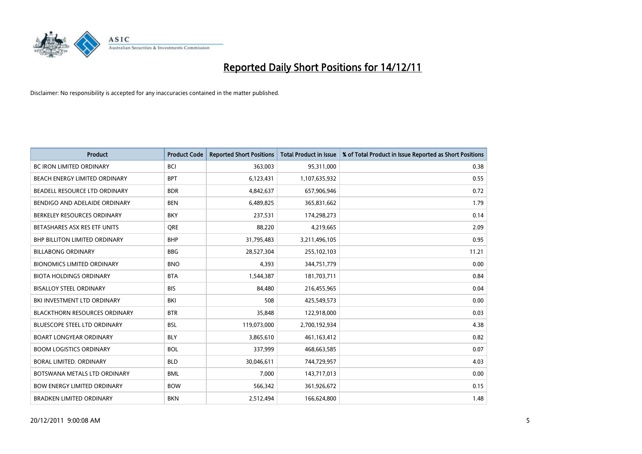

| <b>Product</b>                       | <b>Product Code</b> | <b>Reported Short Positions</b> | <b>Total Product in Issue</b> | % of Total Product in Issue Reported as Short Positions |
|--------------------------------------|---------------------|---------------------------------|-------------------------------|---------------------------------------------------------|
| <b>BC IRON LIMITED ORDINARY</b>      | <b>BCI</b>          | 363,003                         | 95,311,000                    | 0.38                                                    |
| BEACH ENERGY LIMITED ORDINARY        | <b>BPT</b>          | 6,123,431                       | 1,107,635,932                 | 0.55                                                    |
| BEADELL RESOURCE LTD ORDINARY        | <b>BDR</b>          | 4,842,637                       | 657,906,946                   | 0.72                                                    |
| BENDIGO AND ADELAIDE ORDINARY        | <b>BEN</b>          | 6,489,825                       | 365,831,662                   | 1.79                                                    |
| BERKELEY RESOURCES ORDINARY          | <b>BKY</b>          | 237,531                         | 174,298,273                   | 0.14                                                    |
| BETASHARES ASX RES ETF UNITS         | <b>ORE</b>          | 88,220                          | 4,219,665                     | 2.09                                                    |
| <b>BHP BILLITON LIMITED ORDINARY</b> | <b>BHP</b>          | 31,795,483                      | 3,211,496,105                 | 0.95                                                    |
| <b>BILLABONG ORDINARY</b>            | <b>BBG</b>          | 28,527,304                      | 255,102,103                   | 11.21                                                   |
| <b>BIONOMICS LIMITED ORDINARY</b>    | <b>BNO</b>          | 4,393                           | 344,751,779                   | 0.00                                                    |
| <b>BIOTA HOLDINGS ORDINARY</b>       | <b>BTA</b>          | 1,544,387                       | 181,703,711                   | 0.84                                                    |
| <b>BISALLOY STEEL ORDINARY</b>       | <b>BIS</b>          | 84,480                          | 216,455,965                   | 0.04                                                    |
| BKI INVESTMENT LTD ORDINARY          | BKI                 | 508                             | 425,549,573                   | 0.00                                                    |
| <b>BLACKTHORN RESOURCES ORDINARY</b> | <b>BTR</b>          | 35,848                          | 122,918,000                   | 0.03                                                    |
| BLUESCOPE STEEL LTD ORDINARY         | <b>BSL</b>          | 119,073,000                     | 2,700,192,934                 | 4.38                                                    |
| <b>BOART LONGYEAR ORDINARY</b>       | <b>BLY</b>          | 3,865,610                       | 461,163,412                   | 0.82                                                    |
| <b>BOOM LOGISTICS ORDINARY</b>       | <b>BOL</b>          | 337,999                         | 468,663,585                   | 0.07                                                    |
| BORAL LIMITED. ORDINARY              | <b>BLD</b>          | 30,046,611                      | 744,729,957                   | 4.03                                                    |
| BOTSWANA METALS LTD ORDINARY         | <b>BML</b>          | 7,000                           | 143,717,013                   | 0.00                                                    |
| <b>BOW ENERGY LIMITED ORDINARY</b>   | <b>BOW</b>          | 566,342                         | 361,926,672                   | 0.15                                                    |
| <b>BRADKEN LIMITED ORDINARY</b>      | <b>BKN</b>          | 2,512,494                       | 166,624,800                   | 1.48                                                    |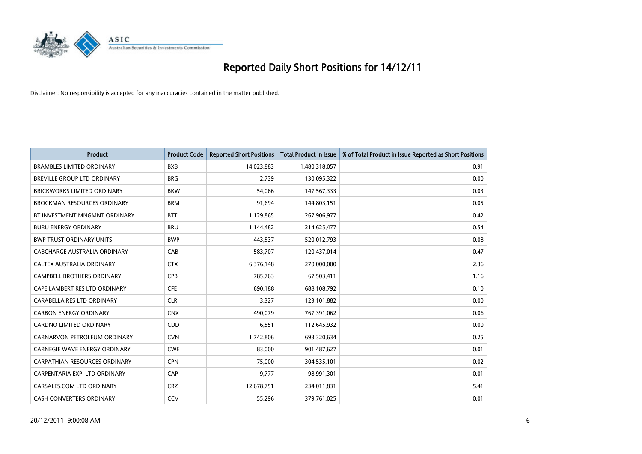

| <b>Product</b>                       | <b>Product Code</b> | <b>Reported Short Positions</b> | <b>Total Product in Issue</b> | % of Total Product in Issue Reported as Short Positions |
|--------------------------------------|---------------------|---------------------------------|-------------------------------|---------------------------------------------------------|
| <b>BRAMBLES LIMITED ORDINARY</b>     | <b>BXB</b>          | 14,023,883                      | 1,480,318,057                 | 0.91                                                    |
| BREVILLE GROUP LTD ORDINARY          | <b>BRG</b>          | 2,739                           | 130,095,322                   | 0.00                                                    |
| <b>BRICKWORKS LIMITED ORDINARY</b>   | <b>BKW</b>          | 54.066                          | 147,567,333                   | 0.03                                                    |
| BROCKMAN RESOURCES ORDINARY          | <b>BRM</b>          | 91,694                          | 144,803,151                   | 0.05                                                    |
| BT INVESTMENT MNGMNT ORDINARY        | <b>BTT</b>          | 1,129,865                       | 267,906,977                   | 0.42                                                    |
| <b>BURU ENERGY ORDINARY</b>          | <b>BRU</b>          | 1,144,482                       | 214,625,477                   | 0.54                                                    |
| <b>BWP TRUST ORDINARY UNITS</b>      | <b>BWP</b>          | 443,537                         | 520,012,793                   | 0.08                                                    |
| CABCHARGE AUSTRALIA ORDINARY         | CAB                 | 583,707                         | 120,437,014                   | 0.47                                                    |
| CALTEX AUSTRALIA ORDINARY            | <b>CTX</b>          | 6,376,148                       | 270,000,000                   | 2.36                                                    |
| <b>CAMPBELL BROTHERS ORDINARY</b>    | <b>CPB</b>          | 785,763                         | 67,503,411                    | 1.16                                                    |
| CAPE LAMBERT RES LTD ORDINARY        | <b>CFE</b>          | 690,188                         | 688,108,792                   | 0.10                                                    |
| CARABELLA RES LTD ORDINARY           | <b>CLR</b>          | 3,327                           | 123,101,882                   | 0.00                                                    |
| <b>CARBON ENERGY ORDINARY</b>        | <b>CNX</b>          | 490,079                         | 767,391,062                   | 0.06                                                    |
| <b>CARDNO LIMITED ORDINARY</b>       | <b>CDD</b>          | 6,551                           | 112,645,932                   | 0.00                                                    |
| CARNARVON PETROLEUM ORDINARY         | <b>CVN</b>          | 1,742,806                       | 693,320,634                   | 0.25                                                    |
| CARNEGIE WAVE ENERGY ORDINARY        | <b>CWE</b>          | 83,000                          | 901,487,627                   | 0.01                                                    |
| <b>CARPATHIAN RESOURCES ORDINARY</b> | <b>CPN</b>          | 75,000                          | 304,535,101                   | 0.02                                                    |
| CARPENTARIA EXP. LTD ORDINARY        | CAP                 | 9,777                           | 98,991,301                    | 0.01                                                    |
| CARSALES.COM LTD ORDINARY            | <b>CRZ</b>          | 12,678,751                      | 234,011,831                   | 5.41                                                    |
| CASH CONVERTERS ORDINARY             | CCV                 | 55,296                          | 379,761,025                   | 0.01                                                    |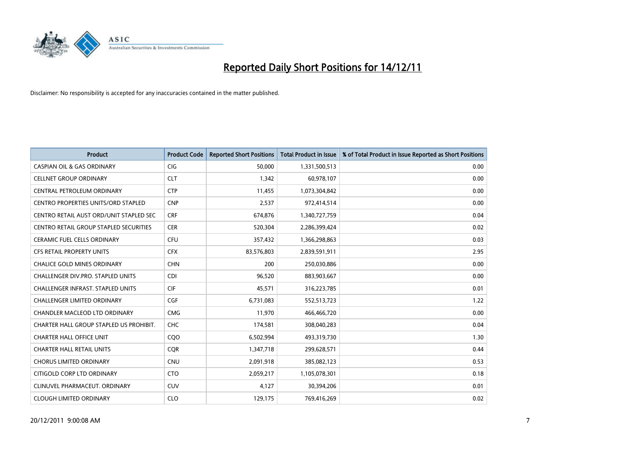

| <b>Product</b>                          | <b>Product Code</b> | <b>Reported Short Positions</b> | Total Product in Issue | % of Total Product in Issue Reported as Short Positions |
|-----------------------------------------|---------------------|---------------------------------|------------------------|---------------------------------------------------------|
| <b>CASPIAN OIL &amp; GAS ORDINARY</b>   | <b>CIG</b>          | 50,000                          | 1,331,500,513          | 0.00                                                    |
| <b>CELLNET GROUP ORDINARY</b>           | <b>CLT</b>          | 1,342                           | 60,978,107             | 0.00                                                    |
| <b>CENTRAL PETROLEUM ORDINARY</b>       | <b>CTP</b>          | 11,455                          | 1,073,304,842          | 0.00                                                    |
| CENTRO PROPERTIES UNITS/ORD STAPLED     | <b>CNP</b>          | 2,537                           | 972,414,514            | 0.00                                                    |
| CENTRO RETAIL AUST ORD/UNIT STAPLED SEC | <b>CRF</b>          | 674,876                         | 1,340,727,759          | 0.04                                                    |
| CENTRO RETAIL GROUP STAPLED SECURITIES  | <b>CER</b>          | 520,304                         | 2,286,399,424          | 0.02                                                    |
| <b>CERAMIC FUEL CELLS ORDINARY</b>      | CFU                 | 357,432                         | 1,366,298,863          | 0.03                                                    |
| <b>CFS RETAIL PROPERTY UNITS</b>        | <b>CFX</b>          | 83,576,803                      | 2,839,591,911          | 2.95                                                    |
| CHALICE GOLD MINES ORDINARY             | <b>CHN</b>          | 200                             | 250,030,886            | 0.00                                                    |
| CHALLENGER DIV.PRO. STAPLED UNITS       | <b>CDI</b>          | 96,520                          | 883,903,667            | 0.00                                                    |
| CHALLENGER INFRAST. STAPLED UNITS       | <b>CIF</b>          | 45,571                          | 316,223,785            | 0.01                                                    |
| <b>CHALLENGER LIMITED ORDINARY</b>      | <b>CGF</b>          | 6,731,083                       | 552,513,723            | 1.22                                                    |
| <b>CHANDLER MACLEOD LTD ORDINARY</b>    | <b>CMG</b>          | 11,970                          | 466,466,720            | 0.00                                                    |
| CHARTER HALL GROUP STAPLED US PROHIBIT. | <b>CHC</b>          | 174,581                         | 308,040,283            | 0.04                                                    |
| <b>CHARTER HALL OFFICE UNIT</b>         | CQO                 | 6,502,994                       | 493,319,730            | 1.30                                                    |
| <b>CHARTER HALL RETAIL UNITS</b>        | <b>COR</b>          | 1,347,718                       | 299,628,571            | 0.44                                                    |
| <b>CHORUS LIMITED ORDINARY</b>          | <b>CNU</b>          | 2,091,918                       | 385,082,123            | 0.53                                                    |
| CITIGOLD CORP LTD ORDINARY              | <b>CTO</b>          | 2,059,217                       | 1,105,078,301          | 0.18                                                    |
| CLINUVEL PHARMACEUT, ORDINARY           | <b>CUV</b>          | 4,127                           | 30,394,206             | 0.01                                                    |
| <b>CLOUGH LIMITED ORDINARY</b>          | <b>CLO</b>          | 129,175                         | 769,416,269            | 0.02                                                    |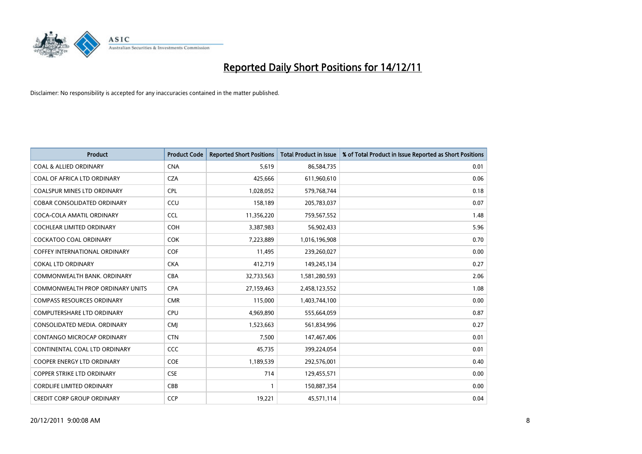

| <b>Product</b>                     | <b>Product Code</b> | <b>Reported Short Positions</b> | <b>Total Product in Issue</b> | % of Total Product in Issue Reported as Short Positions |
|------------------------------------|---------------------|---------------------------------|-------------------------------|---------------------------------------------------------|
| <b>COAL &amp; ALLIED ORDINARY</b>  | <b>CNA</b>          | 5,619                           | 86,584,735                    | 0.01                                                    |
| COAL OF AFRICA LTD ORDINARY        | <b>CZA</b>          | 425,666                         | 611,960,610                   | 0.06                                                    |
| <b>COALSPUR MINES LTD ORDINARY</b> | <b>CPL</b>          | 1,028,052                       | 579,768,744                   | 0.18                                                    |
| COBAR CONSOLIDATED ORDINARY        | CCU                 | 158,189                         | 205,783,037                   | 0.07                                                    |
| COCA-COLA AMATIL ORDINARY          | <b>CCL</b>          | 11,356,220                      | 759,567,552                   | 1.48                                                    |
| <b>COCHLEAR LIMITED ORDINARY</b>   | <b>COH</b>          | 3,387,983                       | 56,902,433                    | 5.96                                                    |
| <b>COCKATOO COAL ORDINARY</b>      | <b>COK</b>          | 7,223,889                       | 1,016,196,908                 | 0.70                                                    |
| COFFEY INTERNATIONAL ORDINARY      | <b>COF</b>          | 11,495                          | 239,260,027                   | 0.00                                                    |
| <b>COKAL LTD ORDINARY</b>          | <b>CKA</b>          | 412,719                         | 149,245,134                   | 0.27                                                    |
| COMMONWEALTH BANK, ORDINARY        | <b>CBA</b>          | 32,733,563                      | 1,581,280,593                 | 2.06                                                    |
| COMMONWEALTH PROP ORDINARY UNITS   | <b>CPA</b>          | 27,159,463                      | 2,458,123,552                 | 1.08                                                    |
| <b>COMPASS RESOURCES ORDINARY</b>  | <b>CMR</b>          | 115,000                         | 1,403,744,100                 | 0.00                                                    |
| COMPUTERSHARE LTD ORDINARY         | CPU                 | 4,969,890                       | 555,664,059                   | 0.87                                                    |
| CONSOLIDATED MEDIA, ORDINARY       | <b>CMI</b>          | 1,523,663                       | 561,834,996                   | 0.27                                                    |
| <b>CONTANGO MICROCAP ORDINARY</b>  | <b>CTN</b>          | 7,500                           | 147,467,406                   | 0.01                                                    |
| CONTINENTAL COAL LTD ORDINARY      | CCC                 | 45,735                          | 399,224,054                   | 0.01                                                    |
| COOPER ENERGY LTD ORDINARY         | <b>COE</b>          | 1,189,539                       | 292,576,001                   | 0.40                                                    |
| COPPER STRIKE LTD ORDINARY         | <b>CSE</b>          | 714                             | 129,455,571                   | 0.00                                                    |
| <b>CORDLIFE LIMITED ORDINARY</b>   | CBB                 |                                 | 150,887,354                   | 0.00                                                    |
| <b>CREDIT CORP GROUP ORDINARY</b>  | <b>CCP</b>          | 19,221                          | 45,571,114                    | 0.04                                                    |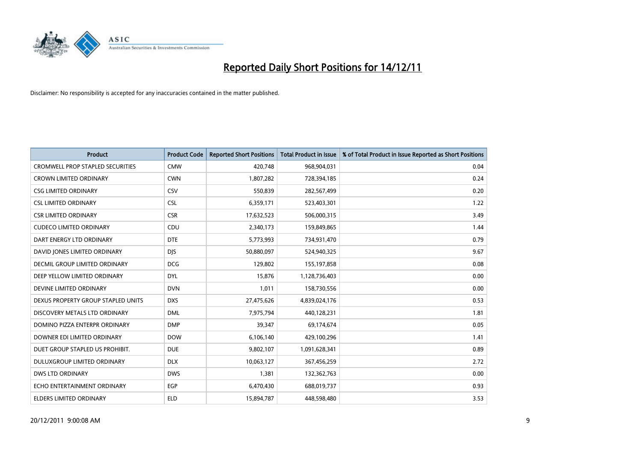

| <b>Product</b>                          | <b>Product Code</b> | <b>Reported Short Positions</b> | <b>Total Product in Issue</b> | % of Total Product in Issue Reported as Short Positions |
|-----------------------------------------|---------------------|---------------------------------|-------------------------------|---------------------------------------------------------|
| <b>CROMWELL PROP STAPLED SECURITIES</b> | <b>CMW</b>          | 420,748                         | 968,904,031                   | 0.04                                                    |
| CROWN LIMITED ORDINARY                  | <b>CWN</b>          | 1,807,282                       | 728,394,185                   | 0.24                                                    |
| <b>CSG LIMITED ORDINARY</b>             | CSV                 | 550,839                         | 282,567,499                   | 0.20                                                    |
| <b>CSL LIMITED ORDINARY</b>             | <b>CSL</b>          | 6,359,171                       | 523,403,301                   | 1.22                                                    |
| <b>CSR LIMITED ORDINARY</b>             | <b>CSR</b>          | 17,632,523                      | 506,000,315                   | 3.49                                                    |
| <b>CUDECO LIMITED ORDINARY</b>          | CDU                 | 2,340,173                       | 159,849,865                   | 1.44                                                    |
| DART ENERGY LTD ORDINARY                | <b>DTE</b>          | 5,773,993                       | 734,931,470                   | 0.79                                                    |
| DAVID JONES LIMITED ORDINARY            | <b>DJS</b>          | 50,880,097                      | 524,940,325                   | 9.67                                                    |
| DECMIL GROUP LIMITED ORDINARY           | <b>DCG</b>          | 129,802                         | 155, 197, 858                 | 0.08                                                    |
| DEEP YELLOW LIMITED ORDINARY            | <b>DYL</b>          | 15,876                          | 1,128,736,403                 | 0.00                                                    |
| DEVINE LIMITED ORDINARY                 | <b>DVN</b>          | 1,011                           | 158,730,556                   | 0.00                                                    |
| DEXUS PROPERTY GROUP STAPLED UNITS      | <b>DXS</b>          | 27,475,626                      | 4,839,024,176                 | 0.53                                                    |
| DISCOVERY METALS LTD ORDINARY           | <b>DML</b>          | 7,975,794                       | 440,128,231                   | 1.81                                                    |
| DOMINO PIZZA ENTERPR ORDINARY           | <b>DMP</b>          | 39,347                          | 69,174,674                    | 0.05                                                    |
| DOWNER EDI LIMITED ORDINARY             | <b>DOW</b>          | 6,106,140                       | 429,100,296                   | 1.41                                                    |
| DUET GROUP STAPLED US PROHIBIT.         | <b>DUE</b>          | 9,802,107                       | 1,091,628,341                 | 0.89                                                    |
| DULUXGROUP LIMITED ORDINARY             | <b>DLX</b>          | 10,063,127                      | 367,456,259                   | 2.72                                                    |
| DWS LTD ORDINARY                        | <b>DWS</b>          | 1,381                           | 132,362,763                   | 0.00                                                    |
| ECHO ENTERTAINMENT ORDINARY             | <b>EGP</b>          | 6,470,430                       | 688,019,737                   | 0.93                                                    |
| <b>ELDERS LIMITED ORDINARY</b>          | <b>ELD</b>          | 15,894,787                      | 448,598,480                   | 3.53                                                    |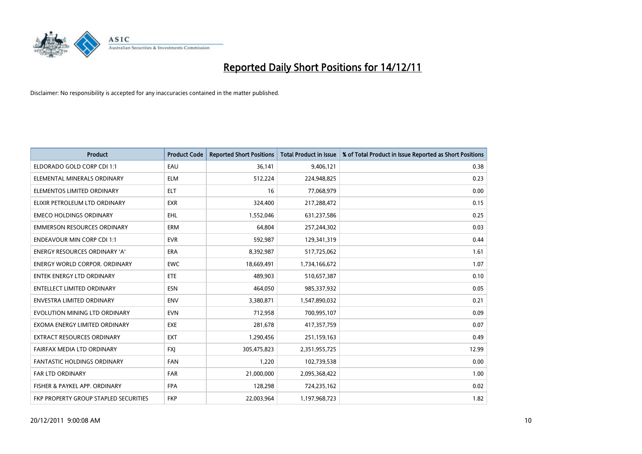

| <b>Product</b>                        | <b>Product Code</b> | <b>Reported Short Positions</b> | <b>Total Product in Issue</b> | % of Total Product in Issue Reported as Short Positions |
|---------------------------------------|---------------------|---------------------------------|-------------------------------|---------------------------------------------------------|
| ELDORADO GOLD CORP CDI 1:1            | EAU                 | 36,141                          | 9,406,121                     | 0.38                                                    |
| ELEMENTAL MINERALS ORDINARY           | <b>ELM</b>          | 512,224                         | 224,948,825                   | 0.23                                                    |
| ELEMENTOS LIMITED ORDINARY            | <b>ELT</b>          | 16                              | 77,068,979                    | 0.00                                                    |
| ELIXIR PETROLEUM LTD ORDINARY         | <b>EXR</b>          | 324,400                         | 217,288,472                   | 0.15                                                    |
| <b>EMECO HOLDINGS ORDINARY</b>        | <b>EHL</b>          | 1,552,046                       | 631,237,586                   | 0.25                                                    |
| <b>EMMERSON RESOURCES ORDINARY</b>    | <b>ERM</b>          | 64.804                          | 257,244,302                   | 0.03                                                    |
| <b>ENDEAVOUR MIN CORP CDI 1:1</b>     | <b>EVR</b>          | 592,987                         | 129,341,319                   | 0.44                                                    |
| ENERGY RESOURCES ORDINARY 'A'         | <b>ERA</b>          | 8,392,987                       | 517,725,062                   | 1.61                                                    |
| <b>ENERGY WORLD CORPOR, ORDINARY</b>  | <b>EWC</b>          | 18,669,491                      | 1,734,166,672                 | 1.07                                                    |
| <b>ENTEK ENERGY LTD ORDINARY</b>      | <b>ETE</b>          | 489,903                         | 510,657,387                   | 0.10                                                    |
| ENTELLECT LIMITED ORDINARY            | <b>ESN</b>          | 464,050                         | 985,337,932                   | 0.05                                                    |
| <b>ENVESTRA LIMITED ORDINARY</b>      | <b>ENV</b>          | 3,380,871                       | 1,547,890,032                 | 0.21                                                    |
| EVOLUTION MINING LTD ORDINARY         | <b>EVN</b>          | 712,958                         | 700,995,107                   | 0.09                                                    |
| EXOMA ENERGY LIMITED ORDINARY         | <b>EXE</b>          | 281,678                         | 417,357,759                   | 0.07                                                    |
| <b>EXTRACT RESOURCES ORDINARY</b>     | EXT                 | 1,290,456                       | 251,159,163                   | 0.49                                                    |
| FAIRFAX MEDIA LTD ORDINARY            | <b>FXI</b>          | 305,475,823                     | 2,351,955,725                 | 12.99                                                   |
| FANTASTIC HOLDINGS ORDINARY           | <b>FAN</b>          | 1,220                           | 102,739,538                   | 0.00                                                    |
| <b>FAR LTD ORDINARY</b>               | <b>FAR</b>          | 21,000,000                      | 2,095,368,422                 | 1.00                                                    |
| FISHER & PAYKEL APP. ORDINARY         | <b>FPA</b>          | 128,298                         | 724,235,162                   | 0.02                                                    |
| FKP PROPERTY GROUP STAPLED SECURITIES | <b>FKP</b>          | 22,003,964                      | 1,197,968,723                 | 1.82                                                    |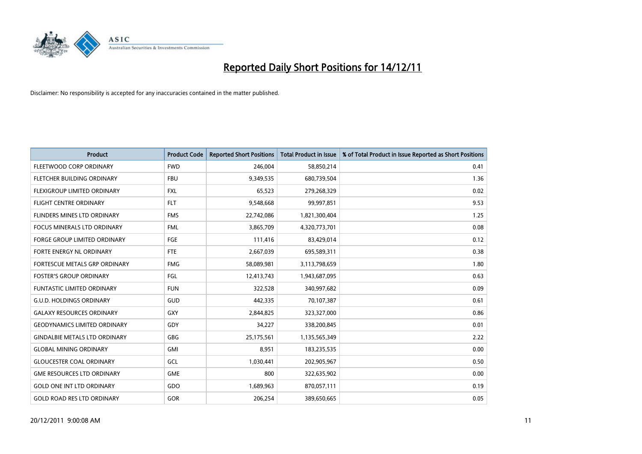

| <b>Product</b>                       | <b>Product Code</b> | <b>Reported Short Positions</b> | <b>Total Product in Issue</b> | % of Total Product in Issue Reported as Short Positions |
|--------------------------------------|---------------------|---------------------------------|-------------------------------|---------------------------------------------------------|
| <b>FLEETWOOD CORP ORDINARY</b>       | <b>FWD</b>          | 246,004                         | 58,850,214                    | 0.41                                                    |
| FLETCHER BUILDING ORDINARY           | <b>FBU</b>          | 9,349,535                       | 680,739,504                   | 1.36                                                    |
| <b>FLEXIGROUP LIMITED ORDINARY</b>   | <b>FXL</b>          | 65,523                          | 279,268,329                   | 0.02                                                    |
| FLIGHT CENTRE ORDINARY               | <b>FLT</b>          | 9,548,668                       | 99,997,851                    | 9.53                                                    |
| <b>FLINDERS MINES LTD ORDINARY</b>   | <b>FMS</b>          | 22,742,086                      | 1,821,300,404                 | 1.25                                                    |
| <b>FOCUS MINERALS LTD ORDINARY</b>   | <b>FML</b>          | 3,865,709                       | 4,320,773,701                 | 0.08                                                    |
| <b>FORGE GROUP LIMITED ORDINARY</b>  | FGE                 | 111,416                         | 83,429,014                    | 0.12                                                    |
| FORTE ENERGY NL ORDINARY             | <b>FTE</b>          | 2,667,039                       | 695,589,311                   | 0.38                                                    |
| <b>FORTESCUE METALS GRP ORDINARY</b> | <b>FMG</b>          | 58,089,981                      | 3,113,798,659                 | 1.80                                                    |
| <b>FOSTER'S GROUP ORDINARY</b>       | FGL                 | 12,413,743                      | 1,943,687,095                 | 0.63                                                    |
| FUNTASTIC LIMITED ORDINARY           | <b>FUN</b>          | 322,528                         | 340,997,682                   | 0.09                                                    |
| <b>G.U.D. HOLDINGS ORDINARY</b>      | <b>GUD</b>          | 442,335                         | 70,107,387                    | 0.61                                                    |
| <b>GALAXY RESOURCES ORDINARY</b>     | GXY                 | 2,844,825                       | 323,327,000                   | 0.86                                                    |
| <b>GEODYNAMICS LIMITED ORDINARY</b>  | GDY                 | 34,227                          | 338,200,845                   | 0.01                                                    |
| <b>GINDALBIE METALS LTD ORDINARY</b> | GBG                 | 25,175,561                      | 1,135,565,349                 | 2.22                                                    |
| <b>GLOBAL MINING ORDINARY</b>        | GMI                 | 8,951                           | 183,235,535                   | 0.00                                                    |
| <b>GLOUCESTER COAL ORDINARY</b>      | GCL                 | 1,030,441                       | 202,905,967                   | 0.50                                                    |
| <b>GME RESOURCES LTD ORDINARY</b>    | <b>GME</b>          | 800                             | 322,635,902                   | 0.00                                                    |
| <b>GOLD ONE INT LTD ORDINARY</b>     | GDO                 | 1,689,963                       | 870,057,111                   | 0.19                                                    |
| <b>GOLD ROAD RES LTD ORDINARY</b>    | GOR                 | 206,254                         | 389,650,665                   | 0.05                                                    |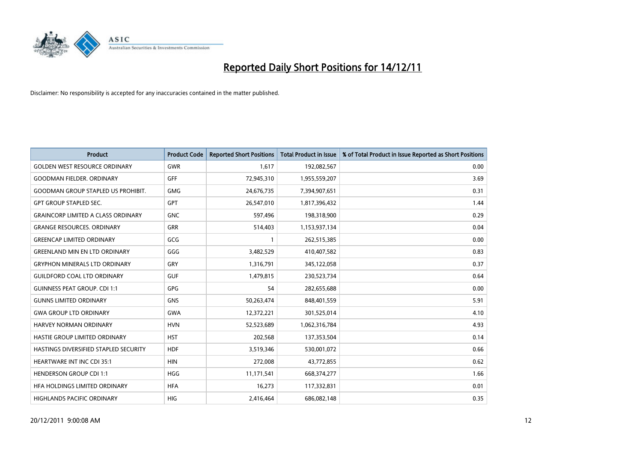

| <b>Product</b>                            | <b>Product Code</b> | <b>Reported Short Positions</b> | <b>Total Product in Issue</b> | % of Total Product in Issue Reported as Short Positions |
|-------------------------------------------|---------------------|---------------------------------|-------------------------------|---------------------------------------------------------|
| <b>GOLDEN WEST RESOURCE ORDINARY</b>      | GWR                 | 1,617                           | 192,082,567                   | 0.00                                                    |
| <b>GOODMAN FIELDER. ORDINARY</b>          | <b>GFF</b>          | 72,945,310                      | 1,955,559,207                 | 3.69                                                    |
| <b>GOODMAN GROUP STAPLED US PROHIBIT.</b> | <b>GMG</b>          | 24,676,735                      | 7,394,907,651                 | 0.31                                                    |
| <b>GPT GROUP STAPLED SEC.</b>             | <b>GPT</b>          | 26,547,010                      | 1,817,396,432                 | 1.44                                                    |
| <b>GRAINCORP LIMITED A CLASS ORDINARY</b> | <b>GNC</b>          | 597,496                         | 198,318,900                   | 0.29                                                    |
| <b>GRANGE RESOURCES, ORDINARY</b>         | <b>GRR</b>          | 514,403                         | 1,153,937,134                 | 0.04                                                    |
| <b>GREENCAP LIMITED ORDINARY</b>          | GCG                 |                                 | 262,515,385                   | 0.00                                                    |
| <b>GREENLAND MIN EN LTD ORDINARY</b>      | GGG                 | 3,482,529                       | 410,407,582                   | 0.83                                                    |
| <b>GRYPHON MINERALS LTD ORDINARY</b>      | GRY                 | 1,316,791                       | 345,122,058                   | 0.37                                                    |
| <b>GUILDFORD COAL LTD ORDINARY</b>        | <b>GUF</b>          | 1,479,815                       | 230,523,734                   | 0.64                                                    |
| <b>GUINNESS PEAT GROUP. CDI 1:1</b>       | <b>GPG</b>          | 54                              | 282,655,688                   | 0.00                                                    |
| <b>GUNNS LIMITED ORDINARY</b>             | <b>GNS</b>          | 50,263,474                      | 848,401,559                   | 5.91                                                    |
| <b>GWA GROUP LTD ORDINARY</b>             | <b>GWA</b>          | 12,372,221                      | 301,525,014                   | 4.10                                                    |
| <b>HARVEY NORMAN ORDINARY</b>             | <b>HVN</b>          | 52,523,689                      | 1,062,316,784                 | 4.93                                                    |
| HASTIE GROUP LIMITED ORDINARY             | <b>HST</b>          | 202,568                         | 137,353,504                   | 0.14                                                    |
| HASTINGS DIVERSIFIED STAPLED SECURITY     | <b>HDF</b>          | 3,519,346                       | 530,001,072                   | 0.66                                                    |
| <b>HEARTWARE INT INC CDI 35:1</b>         | <b>HIN</b>          | 272,008                         | 43,772,855                    | 0.62                                                    |
| <b>HENDERSON GROUP CDI 1:1</b>            | <b>HGG</b>          | 11,171,541                      | 668,374,277                   | 1.66                                                    |
| HFA HOLDINGS LIMITED ORDINARY             | <b>HFA</b>          | 16,273                          | 117,332,831                   | 0.01                                                    |
| HIGHLANDS PACIFIC ORDINARY                | <b>HIG</b>          | 2,416,464                       | 686,082,148                   | 0.35                                                    |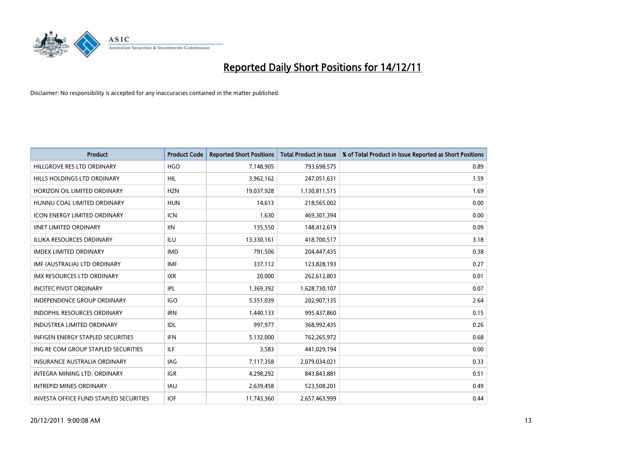

| <b>Product</b>                           | <b>Product Code</b> | <b>Reported Short Positions</b> | <b>Total Product in Issue</b> | % of Total Product in Issue Reported as Short Positions |
|------------------------------------------|---------------------|---------------------------------|-------------------------------|---------------------------------------------------------|
| HILLGROVE RES LTD ORDINARY               | <b>HGO</b>          | 7,148,905                       | 793,698,575                   | 0.89                                                    |
| HILLS HOLDINGS LTD ORDINARY              | <b>HIL</b>          | 3,962,162                       | 247,051,631                   | 1.59                                                    |
| HORIZON OIL LIMITED ORDINARY             | <b>HZN</b>          | 19,037,928                      | 1,130,811,515                 | 1.69                                                    |
| HUNNU COAL LIMITED ORDINARY              | <b>HUN</b>          | 14,613                          | 218,565,002                   | 0.00                                                    |
| <b>ICON ENERGY LIMITED ORDINARY</b>      | <b>ICN</b>          | 1,630                           | 469,301,394                   | 0.00                                                    |
| <b>IINET LIMITED ORDINARY</b>            | <b>IIN</b>          | 135,550                         | 148,412,619                   | 0.09                                                    |
| ILUKA RESOURCES ORDINARY                 | ILU                 | 13,330,161                      | 418,700,517                   | 3.18                                                    |
| <b>IMDEX LIMITED ORDINARY</b>            | <b>IMD</b>          | 791,506                         | 204,447,435                   | 0.38                                                    |
| IMF (AUSTRALIA) LTD ORDINARY             | <b>IMF</b>          | 337,112                         | 123,828,193                   | 0.27                                                    |
| <b>IMX RESOURCES LTD ORDINARY</b>        | <b>IXR</b>          | 20,000                          | 262,612,803                   | 0.01                                                    |
| <b>INCITEC PIVOT ORDINARY</b>            | IPL                 | 1,369,392                       | 1,628,730,107                 | 0.07                                                    |
| <b>INDEPENDENCE GROUP ORDINARY</b>       | <b>IGO</b>          | 5,351,039                       | 202,907,135                   | 2.64                                                    |
| <b>INDOPHIL RESOURCES ORDINARY</b>       | <b>IRN</b>          | 1,440,133                       | 995,437,860                   | 0.15                                                    |
| <b>INDUSTREA LIMITED ORDINARY</b>        | IDL                 | 997,977                         | 368,992,435                   | 0.26                                                    |
| <b>INFIGEN ENERGY STAPLED SECURITIES</b> | <b>IFN</b>          | 5,132,000                       | 762,265,972                   | 0.68                                                    |
| ING RE COM GROUP STAPLED SECURITIES      | ILF.                | 3,583                           | 441,029,194                   | 0.00                                                    |
| <b>INSURANCE AUSTRALIA ORDINARY</b>      | IAG                 | 7,117,358                       | 2,079,034,021                 | 0.33                                                    |
| <b>INTEGRA MINING LTD, ORDINARY</b>      | <b>IGR</b>          | 4,298,292                       | 843,843,881                   | 0.51                                                    |
| <b>INTREPID MINES ORDINARY</b>           | <b>IAU</b>          | 2,639,458                       | 523,508,201                   | 0.49                                                    |
| INVESTA OFFICE FUND STAPLED SECURITIES   | <b>IOF</b>          | 11,743,360                      | 2,657,463,999                 | 0.44                                                    |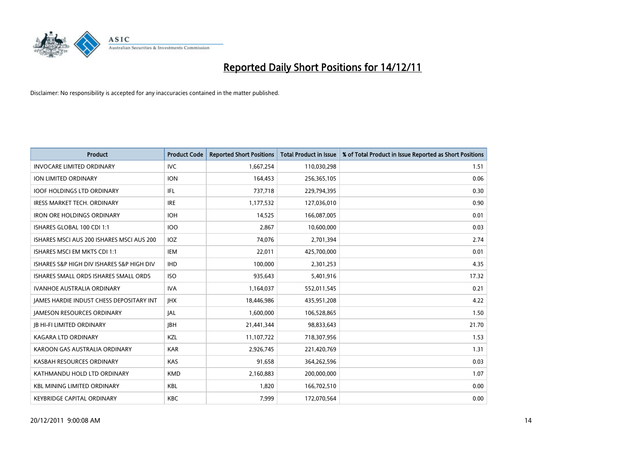

| <b>Product</b>                                  | <b>Product Code</b> | <b>Reported Short Positions</b> | <b>Total Product in Issue</b> | % of Total Product in Issue Reported as Short Positions |
|-------------------------------------------------|---------------------|---------------------------------|-------------------------------|---------------------------------------------------------|
| <b>INVOCARE LIMITED ORDINARY</b>                | <b>IVC</b>          | 1,667,254                       | 110,030,298                   | 1.51                                                    |
| ION LIMITED ORDINARY                            | <b>ION</b>          | 164,453                         | 256,365,105                   | 0.06                                                    |
| <b>IOOF HOLDINGS LTD ORDINARY</b>               | <b>IFL</b>          | 737,718                         | 229,794,395                   | 0.30                                                    |
| IRESS MARKET TECH. ORDINARY                     | <b>IRE</b>          | 1,177,532                       | 127,036,010                   | 0.90                                                    |
| <b>IRON ORE HOLDINGS ORDINARY</b>               | <b>IOH</b>          | 14,525                          | 166,087,005                   | 0.01                                                    |
| ISHARES GLOBAL 100 CDI 1:1                      | 100                 | 2,867                           | 10,600,000                    | 0.03                                                    |
| ISHARES MSCI AUS 200 ISHARES MSCI AUS 200       | IOZ.                | 74,076                          | 2,701,394                     | 2.74                                                    |
| ISHARES MSCI EM MKTS CDI 1:1                    | IEM                 | 22,011                          | 425,700,000                   | 0.01                                                    |
| ISHARES S&P HIGH DIV ISHARES S&P HIGH DIV       | <b>IHD</b>          | 100.000                         | 2,301,253                     | 4.35                                                    |
| ISHARES SMALL ORDS ISHARES SMALL ORDS           | ISO.                | 935,643                         | 5,401,916                     | 17.32                                                   |
| IVANHOE AUSTRALIA ORDINARY                      | <b>IVA</b>          | 1,164,037                       | 552,011,545                   | 0.21                                                    |
| <b>JAMES HARDIE INDUST CHESS DEPOSITARY INT</b> | <b>IHX</b>          | 18,446,986                      | 435,951,208                   | 4.22                                                    |
| <b>JAMESON RESOURCES ORDINARY</b>               | <b>JAL</b>          | 1,600,000                       | 106,528,865                   | 1.50                                                    |
| <b>JB HI-FI LIMITED ORDINARY</b>                | <b>IBH</b>          | 21,441,344                      | 98,833,643                    | 21.70                                                   |
| <b>KAGARA LTD ORDINARY</b>                      | <b>KZL</b>          | 11,107,722                      | 718,307,956                   | 1.53                                                    |
| KAROON GAS AUSTRALIA ORDINARY                   | <b>KAR</b>          | 2,926,745                       | 221,420,769                   | 1.31                                                    |
| KASBAH RESOURCES ORDINARY                       | <b>KAS</b>          | 91,658                          | 364,262,596                   | 0.03                                                    |
| KATHMANDU HOLD LTD ORDINARY                     | <b>KMD</b>          | 2,160,883                       | 200,000,000                   | 1.07                                                    |
| <b>KBL MINING LIMITED ORDINARY</b>              | <b>KBL</b>          | 1,820                           | 166,702,510                   | 0.00                                                    |
| <b>KEYBRIDGE CAPITAL ORDINARY</b>               | <b>KBC</b>          | 7,999                           | 172,070,564                   | 0.00                                                    |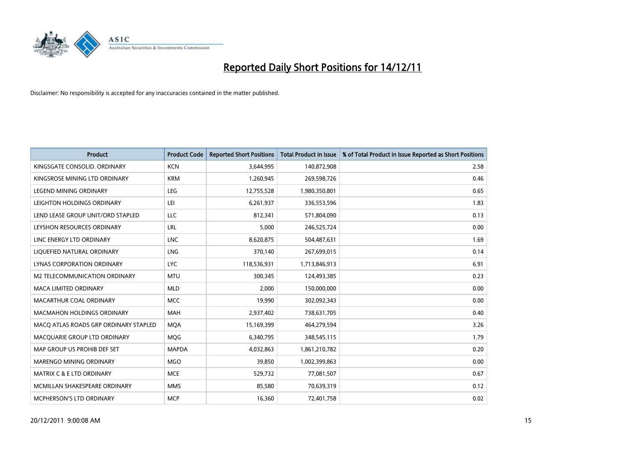

| <b>Product</b>                        | <b>Product Code</b> | <b>Reported Short Positions</b> | Total Product in Issue | % of Total Product in Issue Reported as Short Positions |
|---------------------------------------|---------------------|---------------------------------|------------------------|---------------------------------------------------------|
| KINGSGATE CONSOLID, ORDINARY          | <b>KCN</b>          | 3,644,995                       | 140,872,908            | 2.58                                                    |
| KINGSROSE MINING LTD ORDINARY         | <b>KRM</b>          | 1,260,945                       | 269,598,726            | 0.46                                                    |
| <b>LEGEND MINING ORDINARY</b>         | <b>LEG</b>          | 12,755,528                      | 1,980,350,801          | 0.65                                                    |
| LEIGHTON HOLDINGS ORDINARY            | LEI                 | 6,261,937                       | 336,553,596            | 1.83                                                    |
| LEND LEASE GROUP UNIT/ORD STAPLED     | <b>LLC</b>          | 812,341                         | 571,804,090            | 0.13                                                    |
| LEYSHON RESOURCES ORDINARY            | LRL                 | 5,000                           | 246,525,724            | 0.00                                                    |
| LINC ENERGY LTD ORDINARY              | <b>LNC</b>          | 8,620,875                       | 504,487,631            | 1.69                                                    |
| LIQUEFIED NATURAL ORDINARY            | <b>LNG</b>          | 370,140                         | 267,699,015            | 0.14                                                    |
| LYNAS CORPORATION ORDINARY            | <b>LYC</b>          | 118,536,931                     | 1,713,846,913          | 6.91                                                    |
| M2 TELECOMMUNICATION ORDINARY         | <b>MTU</b>          | 300,345                         | 124,493,385            | 0.23                                                    |
| <b>MACA LIMITED ORDINARY</b>          | <b>MLD</b>          | 2,000                           | 150,000,000            | 0.00                                                    |
| <b>MACARTHUR COAL ORDINARY</b>        | <b>MCC</b>          | 19,990                          | 302,092,343            | 0.00                                                    |
| <b>MACMAHON HOLDINGS ORDINARY</b>     | <b>MAH</b>          | 2,937,402                       | 738,631,705            | 0.40                                                    |
| MACO ATLAS ROADS GRP ORDINARY STAPLED | <b>MQA</b>          | 15,169,399                      | 464,279,594            | 3.26                                                    |
| MACQUARIE GROUP LTD ORDINARY          | MQG                 | 6,340,795                       | 348,545,115            | 1.79                                                    |
| MAP GROUP US PROHIB DEF SET           | <b>MAPDA</b>        | 4,032,863                       | 1,861,210,782          | 0.20                                                    |
| MARENGO MINING ORDINARY               | <b>MGO</b>          | 39,850                          | 1,002,399,863          | 0.00                                                    |
| MATRIX C & E LTD ORDINARY             | <b>MCE</b>          | 529,732                         | 77,081,507             | 0.67                                                    |
| MCMILLAN SHAKESPEARE ORDINARY         | <b>MMS</b>          | 85,580                          | 70,639,319             | 0.12                                                    |
| <b>MCPHERSON'S LTD ORDINARY</b>       | <b>MCP</b>          | 16,360                          | 72,401,758             | 0.02                                                    |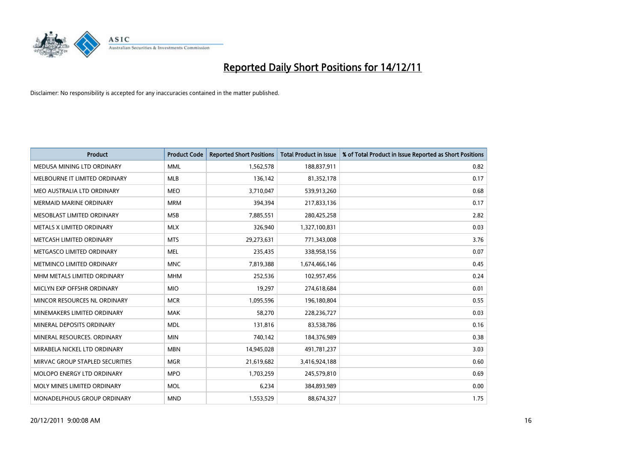

| <b>Product</b>                  | <b>Product Code</b> | <b>Reported Short Positions</b> | <b>Total Product in Issue</b> | % of Total Product in Issue Reported as Short Positions |
|---------------------------------|---------------------|---------------------------------|-------------------------------|---------------------------------------------------------|
| MEDUSA MINING LTD ORDINARY      | <b>MML</b>          | 1,562,578                       | 188,837,911                   | 0.82                                                    |
| MELBOURNE IT LIMITED ORDINARY   | <b>MLB</b>          | 136,142                         | 81,352,178                    | 0.17                                                    |
| MEO AUSTRALIA LTD ORDINARY      | <b>MEO</b>          | 3,710,047                       | 539,913,260                   | 0.68                                                    |
| MERMAID MARINE ORDINARY         | <b>MRM</b>          | 394,394                         | 217,833,136                   | 0.17                                                    |
| MESOBLAST LIMITED ORDINARY      | <b>MSB</b>          | 7,885,551                       | 280,425,258                   | 2.82                                                    |
| METALS X LIMITED ORDINARY       | <b>MLX</b>          | 326,940                         | 1,327,100,831                 | 0.03                                                    |
| METCASH LIMITED ORDINARY        | <b>MTS</b>          | 29,273,631                      | 771,343,008                   | 3.76                                                    |
| METGASCO LIMITED ORDINARY       | <b>MEL</b>          | 235,435                         | 338,958,156                   | 0.07                                                    |
| METMINCO LIMITED ORDINARY       | <b>MNC</b>          | 7,819,388                       | 1,674,466,146                 | 0.45                                                    |
| MHM METALS LIMITED ORDINARY     | <b>MHM</b>          | 252,536                         | 102,957,456                   | 0.24                                                    |
| MICLYN EXP OFFSHR ORDINARY      | <b>MIO</b>          | 19,297                          | 274,618,684                   | 0.01                                                    |
| MINCOR RESOURCES NL ORDINARY    | <b>MCR</b>          | 1,095,596                       | 196,180,804                   | 0.55                                                    |
| MINEMAKERS LIMITED ORDINARY     | <b>MAK</b>          | 58,270                          | 228,236,727                   | 0.03                                                    |
| MINERAL DEPOSITS ORDINARY       | <b>MDL</b>          | 131,816                         | 83,538,786                    | 0.16                                                    |
| MINERAL RESOURCES, ORDINARY     | <b>MIN</b>          | 740,142                         | 184,376,989                   | 0.38                                                    |
| MIRABELA NICKEL LTD ORDINARY    | <b>MBN</b>          | 14,945,028                      | 491,781,237                   | 3.03                                                    |
| MIRVAC GROUP STAPLED SECURITIES | <b>MGR</b>          | 21,619,682                      | 3,416,924,188                 | 0.60                                                    |
| MOLOPO ENERGY LTD ORDINARY      | <b>MPO</b>          | 1,703,259                       | 245,579,810                   | 0.69                                                    |
| MOLY MINES LIMITED ORDINARY     | <b>MOL</b>          | 6,234                           | 384,893,989                   | 0.00                                                    |
| MONADELPHOUS GROUP ORDINARY     | <b>MND</b>          | 1,553,529                       | 88,674,327                    | 1.75                                                    |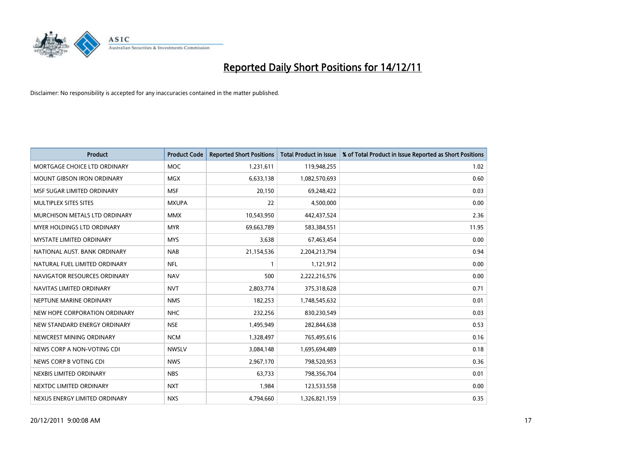

| <b>Product</b>                       | <b>Product Code</b> | <b>Reported Short Positions</b> | <b>Total Product in Issue</b> | % of Total Product in Issue Reported as Short Positions |
|--------------------------------------|---------------------|---------------------------------|-------------------------------|---------------------------------------------------------|
| MORTGAGE CHOICE LTD ORDINARY         | <b>MOC</b>          | 1,231,611                       | 119,948,255                   | 1.02                                                    |
| <b>MOUNT GIBSON IRON ORDINARY</b>    | <b>MGX</b>          | 6,633,138                       | 1,082,570,693                 | 0.60                                                    |
| MSF SUGAR LIMITED ORDINARY           | <b>MSF</b>          | 20,150                          | 69,248,422                    | 0.03                                                    |
| MULTIPLEX SITES SITES                | <b>MXUPA</b>        | 22                              | 4,500,000                     | 0.00                                                    |
| <b>MURCHISON METALS LTD ORDINARY</b> | <b>MMX</b>          | 10,543,950                      | 442,437,524                   | 2.36                                                    |
| <b>MYER HOLDINGS LTD ORDINARY</b>    | <b>MYR</b>          | 69,663,789                      | 583,384,551                   | 11.95                                                   |
| <b>MYSTATE LIMITED ORDINARY</b>      | <b>MYS</b>          | 3,638                           | 67,463,454                    | 0.00                                                    |
| NATIONAL AUST, BANK ORDINARY         | <b>NAB</b>          | 21,154,536                      | 2,204,213,794                 | 0.94                                                    |
| NATURAL FUEL LIMITED ORDINARY        | <b>NFL</b>          |                                 | 1,121,912                     | 0.00                                                    |
| NAVIGATOR RESOURCES ORDINARY         | <b>NAV</b>          | 500                             | 2,222,216,576                 | 0.00                                                    |
| NAVITAS LIMITED ORDINARY             | <b>NVT</b>          | 2,803,774                       | 375,318,628                   | 0.71                                                    |
| NEPTUNE MARINE ORDINARY              | <b>NMS</b>          | 182,253                         | 1,748,545,632                 | 0.01                                                    |
| NEW HOPE CORPORATION ORDINARY        | <b>NHC</b>          | 232,256                         | 830,230,549                   | 0.03                                                    |
| NEW STANDARD ENERGY ORDINARY         | <b>NSE</b>          | 1,495,949                       | 282,844,638                   | 0.53                                                    |
| NEWCREST MINING ORDINARY             | <b>NCM</b>          | 1,328,497                       | 765,495,616                   | 0.16                                                    |
| NEWS CORP A NON-VOTING CDI           | <b>NWSLV</b>        | 3,084,148                       | 1,695,694,489                 | 0.18                                                    |
| NEWS CORP B VOTING CDI               | <b>NWS</b>          | 2,967,170                       | 798,520,953                   | 0.36                                                    |
| NEXBIS LIMITED ORDINARY              | <b>NBS</b>          | 63,733                          | 798,356,704                   | 0.01                                                    |
| NEXTDC LIMITED ORDINARY              | <b>NXT</b>          | 1,984                           | 123,533,558                   | 0.00                                                    |
| NEXUS ENERGY LIMITED ORDINARY        | <b>NXS</b>          | 4,794,660                       | 1,326,821,159                 | 0.35                                                    |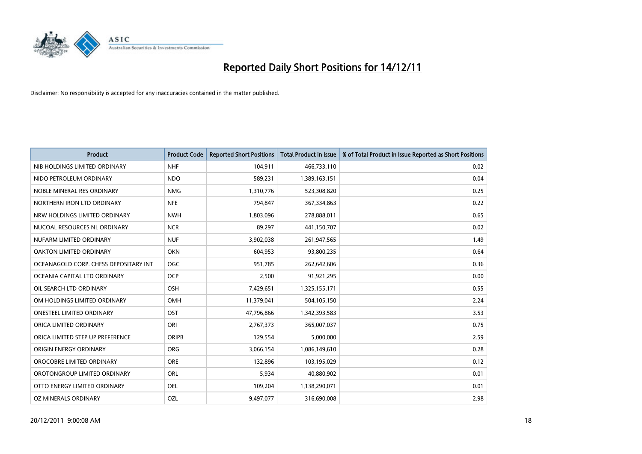

| <b>Product</b>                        | <b>Product Code</b> | <b>Reported Short Positions</b> | <b>Total Product in Issue</b> | % of Total Product in Issue Reported as Short Positions |
|---------------------------------------|---------------------|---------------------------------|-------------------------------|---------------------------------------------------------|
| NIB HOLDINGS LIMITED ORDINARY         | <b>NHF</b>          | 104,911                         | 466,733,110                   | 0.02                                                    |
| NIDO PETROLEUM ORDINARY               | <b>NDO</b>          | 589,231                         | 1,389,163,151                 | 0.04                                                    |
| NOBLE MINERAL RES ORDINARY            | <b>NMG</b>          | 1,310,776                       | 523,308,820                   | 0.25                                                    |
| NORTHERN IRON LTD ORDINARY            | <b>NFE</b>          | 794,847                         | 367,334,863                   | 0.22                                                    |
| NRW HOLDINGS LIMITED ORDINARY         | <b>NWH</b>          | 1,803,096                       | 278,888,011                   | 0.65                                                    |
| NUCOAL RESOURCES NL ORDINARY          | <b>NCR</b>          | 89,297                          | 441,150,707                   | 0.02                                                    |
| NUFARM LIMITED ORDINARY               | <b>NUF</b>          | 3,902,038                       | 261,947,565                   | 1.49                                                    |
| OAKTON LIMITED ORDINARY               | <b>OKN</b>          | 604,953                         | 93,800,235                    | 0.64                                                    |
| OCEANAGOLD CORP. CHESS DEPOSITARY INT | <b>OGC</b>          | 951,785                         | 262,642,606                   | 0.36                                                    |
| OCEANIA CAPITAL LTD ORDINARY          | <b>OCP</b>          | 2,500                           | 91,921,295                    | 0.00                                                    |
| OIL SEARCH LTD ORDINARY               | OSH                 | 7,429,651                       | 1,325,155,171                 | 0.55                                                    |
| OM HOLDINGS LIMITED ORDINARY          | OMH                 | 11,379,041                      | 504,105,150                   | 2.24                                                    |
| <b>ONESTEEL LIMITED ORDINARY</b>      | OST                 | 47,796,866                      | 1,342,393,583                 | 3.53                                                    |
| ORICA LIMITED ORDINARY                | ORI                 | 2,767,373                       | 365,007,037                   | 0.75                                                    |
| ORICA LIMITED STEP UP PREFERENCE      | <b>ORIPB</b>        | 129,554                         | 5,000,000                     | 2.59                                                    |
| ORIGIN ENERGY ORDINARY                | <b>ORG</b>          | 3,066,154                       | 1,086,149,610                 | 0.28                                                    |
| OROCOBRE LIMITED ORDINARY             | <b>ORE</b>          | 132,896                         | 103,195,029                   | 0.12                                                    |
| OROTONGROUP LIMITED ORDINARY          | ORL                 | 5,934                           | 40,880,902                    | 0.01                                                    |
| OTTO ENERGY LIMITED ORDINARY          | <b>OEL</b>          | 109,204                         | 1,138,290,071                 | 0.01                                                    |
| OZ MINERALS ORDINARY                  | OZL                 | 9,497,077                       | 316,690,008                   | 2.98                                                    |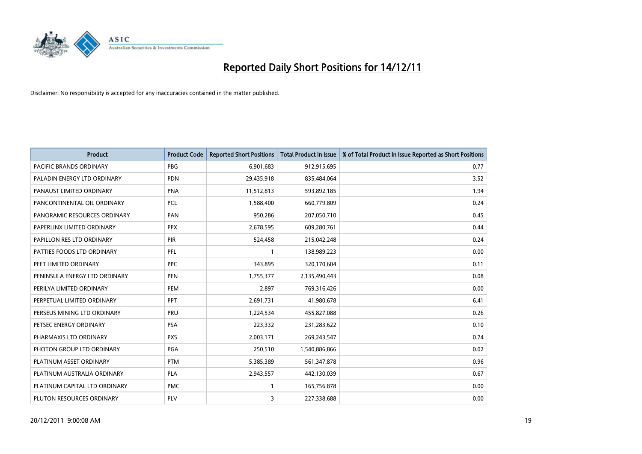

| <b>Product</b>                | <b>Product Code</b> | <b>Reported Short Positions</b> | <b>Total Product in Issue</b> | % of Total Product in Issue Reported as Short Positions |
|-------------------------------|---------------------|---------------------------------|-------------------------------|---------------------------------------------------------|
| PACIFIC BRANDS ORDINARY       | <b>PBG</b>          | 6,901,683                       | 912,915,695                   | 0.77                                                    |
| PALADIN ENERGY LTD ORDINARY   | <b>PDN</b>          | 29,435,918                      | 835,484,064                   | 3.52                                                    |
| PANAUST LIMITED ORDINARY      | <b>PNA</b>          | 11,512,813                      | 593,892,185                   | 1.94                                                    |
| PANCONTINENTAL OIL ORDINARY   | PCL                 | 1,588,400                       | 660,779,809                   | 0.24                                                    |
| PANORAMIC RESOURCES ORDINARY  | PAN                 | 950,286                         | 207,050,710                   | 0.45                                                    |
| PAPERLINX LIMITED ORDINARY    | <b>PPX</b>          | 2,678,595                       | 609,280,761                   | 0.44                                                    |
| PAPILLON RES LTD ORDINARY     | <b>PIR</b>          | 524,458                         | 215,042,248                   | 0.24                                                    |
| PATTIES FOODS LTD ORDINARY    | PFL                 |                                 | 138,989,223                   | 0.00                                                    |
| PEET LIMITED ORDINARY         | <b>PPC</b>          | 343,895                         | 320,170,604                   | 0.11                                                    |
| PENINSULA ENERGY LTD ORDINARY | PEN                 | 1,755,377                       | 2,135,490,443                 | 0.08                                                    |
| PERILYA LIMITED ORDINARY      | PEM                 | 2,897                           | 769,316,426                   | 0.00                                                    |
| PERPETUAL LIMITED ORDINARY    | <b>PPT</b>          | 2,691,731                       | 41,980,678                    | 6.41                                                    |
| PERSEUS MINING LTD ORDINARY   | PRU                 | 1,224,534                       | 455,827,088                   | 0.26                                                    |
| PETSEC ENERGY ORDINARY        | <b>PSA</b>          | 223,332                         | 231,283,622                   | 0.10                                                    |
| PHARMAXIS LTD ORDINARY        | <b>PXS</b>          | 2,003,171                       | 269,243,547                   | 0.74                                                    |
| PHOTON GROUP LTD ORDINARY     | PGA                 | 250,510                         | 1,540,886,866                 | 0.02                                                    |
| PLATINUM ASSET ORDINARY       | <b>PTM</b>          | 5,385,389                       | 561,347,878                   | 0.96                                                    |
| PLATINUM AUSTRALIA ORDINARY   | <b>PLA</b>          | 2,943,557                       | 442,130,039                   | 0.67                                                    |
| PLATINUM CAPITAL LTD ORDINARY | <b>PMC</b>          |                                 | 165,756,878                   | 0.00                                                    |
| PLUTON RESOURCES ORDINARY     | PLV                 | 3                               | 227,338,688                   | 0.00                                                    |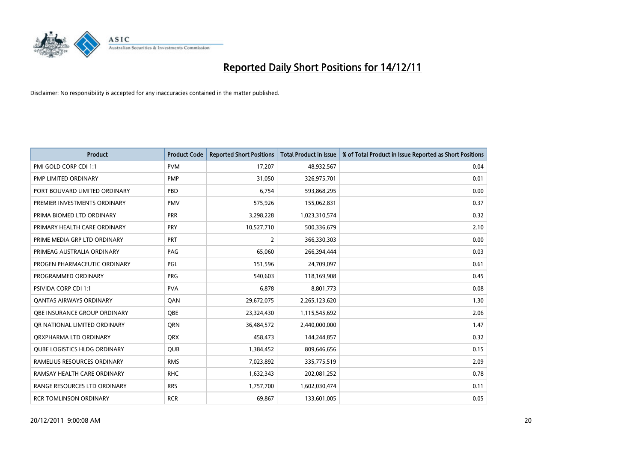

| <b>Product</b>                      | <b>Product Code</b> | <b>Reported Short Positions</b> | <b>Total Product in Issue</b> | % of Total Product in Issue Reported as Short Positions |
|-------------------------------------|---------------------|---------------------------------|-------------------------------|---------------------------------------------------------|
| PMI GOLD CORP CDI 1:1               | <b>PVM</b>          | 17,207                          | 48,932,567                    | 0.04                                                    |
| PMP LIMITED ORDINARY                | <b>PMP</b>          | 31,050                          | 326,975,701                   | 0.01                                                    |
| PORT BOUVARD LIMITED ORDINARY       | PBD                 | 6,754                           | 593,868,295                   | 0.00                                                    |
| PREMIER INVESTMENTS ORDINARY        | <b>PMV</b>          | 575,926                         | 155,062,831                   | 0.37                                                    |
| PRIMA BIOMED LTD ORDINARY           | <b>PRR</b>          | 3,298,228                       | 1,023,310,574                 | 0.32                                                    |
| PRIMARY HEALTH CARE ORDINARY        | PRY                 | 10,527,710                      | 500,336,679                   | 2.10                                                    |
| PRIME MEDIA GRP LTD ORDINARY        | PRT                 | 2                               | 366,330,303                   | 0.00                                                    |
| PRIMEAG AUSTRALIA ORDINARY          | PAG                 | 65,060                          | 266,394,444                   | 0.03                                                    |
| PROGEN PHARMACEUTIC ORDINARY        | <b>PGL</b>          | 151,596                         | 24,709,097                    | 0.61                                                    |
| PROGRAMMED ORDINARY                 | <b>PRG</b>          | 540,603                         | 118,169,908                   | 0.45                                                    |
| PSIVIDA CORP CDI 1:1                | <b>PVA</b>          | 6,878                           | 8,801,773                     | 0.08                                                    |
| <b>QANTAS AIRWAYS ORDINARY</b>      | QAN                 | 29,672,075                      | 2,265,123,620                 | 1.30                                                    |
| <b>OBE INSURANCE GROUP ORDINARY</b> | <b>OBE</b>          | 23,324,430                      | 1,115,545,692                 | 2.06                                                    |
| OR NATIONAL LIMITED ORDINARY        | <b>ORN</b>          | 36,484,572                      | 2,440,000,000                 | 1.47                                                    |
| ORXPHARMA LTD ORDINARY              | <b>QRX</b>          | 458,473                         | 144,244,857                   | 0.32                                                    |
| <b>QUBE LOGISTICS HLDG ORDINARY</b> | QUB                 | 1,384,452                       | 809,646,656                   | 0.15                                                    |
| RAMELIUS RESOURCES ORDINARY         | <b>RMS</b>          | 7,023,892                       | 335,775,519                   | 2.09                                                    |
| RAMSAY HEALTH CARE ORDINARY         | <b>RHC</b>          | 1,632,343                       | 202,081,252                   | 0.78                                                    |
| RANGE RESOURCES LTD ORDINARY        | <b>RRS</b>          | 1,757,700                       | 1,602,030,474                 | 0.11                                                    |
| <b>RCR TOMLINSON ORDINARY</b>       | <b>RCR</b>          | 69,867                          | 133,601,005                   | 0.05                                                    |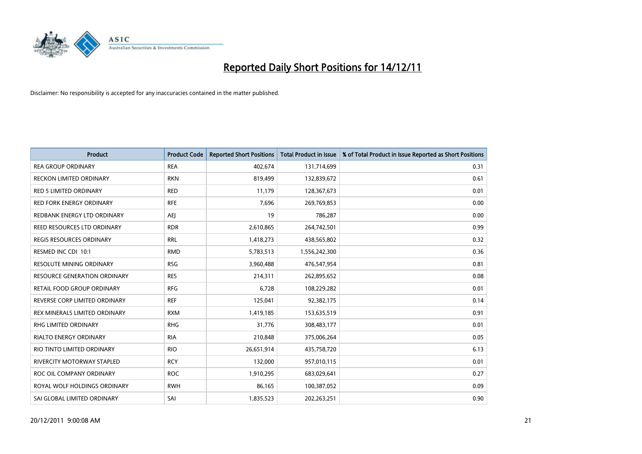

| <b>Product</b>                      | <b>Product Code</b> | <b>Reported Short Positions</b> | <b>Total Product in Issue</b> | % of Total Product in Issue Reported as Short Positions |
|-------------------------------------|---------------------|---------------------------------|-------------------------------|---------------------------------------------------------|
| <b>REA GROUP ORDINARY</b>           | <b>REA</b>          | 402,674                         | 131,714,699                   | 0.31                                                    |
| RECKON LIMITED ORDINARY             | <b>RKN</b>          | 819,499                         | 132,839,672                   | 0.61                                                    |
| <b>RED 5 LIMITED ORDINARY</b>       | <b>RED</b>          | 11,179                          | 128,367,673                   | 0.01                                                    |
| RED FORK ENERGY ORDINARY            | <b>RFE</b>          | 7,696                           | 269,769,853                   | 0.00                                                    |
| REDBANK ENERGY LTD ORDINARY         | AEI                 | 19                              | 786,287                       | 0.00                                                    |
| REED RESOURCES LTD ORDINARY         | <b>RDR</b>          | 2,610,865                       | 264,742,501                   | 0.99                                                    |
| <b>REGIS RESOURCES ORDINARY</b>     | <b>RRL</b>          | 1,418,273                       | 438,565,802                   | 0.32                                                    |
| RESMED INC CDI 10:1                 | <b>RMD</b>          | 5,783,513                       | 1,556,242,300                 | 0.36                                                    |
| RESOLUTE MINING ORDINARY            | <b>RSG</b>          | 3,960,488                       | 476,547,954                   | 0.81                                                    |
| <b>RESOURCE GENERATION ORDINARY</b> | <b>RES</b>          | 214,311                         | 262,895,652                   | 0.08                                                    |
| RETAIL FOOD GROUP ORDINARY          | <b>RFG</b>          | 6,728                           | 108,229,282                   | 0.01                                                    |
| REVERSE CORP LIMITED ORDINARY       | <b>REF</b>          | 125,041                         | 92,382,175                    | 0.14                                                    |
| REX MINERALS LIMITED ORDINARY       | <b>RXM</b>          | 1,419,185                       | 153,635,519                   | 0.91                                                    |
| <b>RHG LIMITED ORDINARY</b>         | <b>RHG</b>          | 31,776                          | 308,483,177                   | 0.01                                                    |
| <b>RIALTO ENERGY ORDINARY</b>       | <b>RIA</b>          | 210,848                         | 375,006,264                   | 0.05                                                    |
| RIO TINTO LIMITED ORDINARY          | <b>RIO</b>          | 26,651,914                      | 435,758,720                   | 6.13                                                    |
| <b>RIVERCITY MOTORWAY STAPLED</b>   | <b>RCY</b>          | 132,000                         | 957,010,115                   | 0.01                                                    |
| ROC OIL COMPANY ORDINARY            | <b>ROC</b>          | 1,910,295                       | 683,029,641                   | 0.27                                                    |
| ROYAL WOLF HOLDINGS ORDINARY        | <b>RWH</b>          | 86,165                          | 100,387,052                   | 0.09                                                    |
| SAI GLOBAL LIMITED ORDINARY         | SAI                 | 1,835,523                       | 202.263.251                   | 0.90                                                    |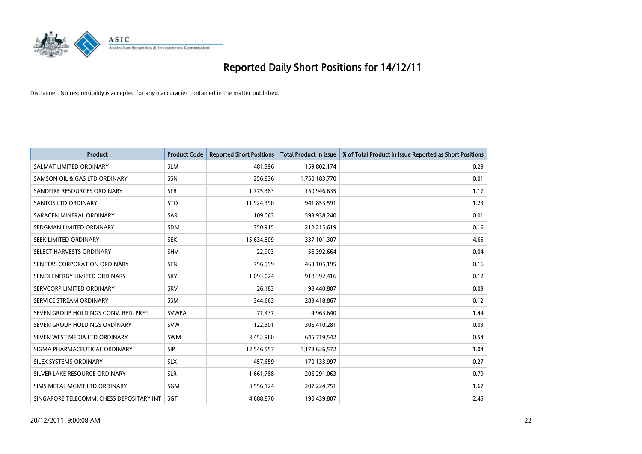

| <b>Product</b>                           | <b>Product Code</b> | <b>Reported Short Positions</b> | <b>Total Product in Issue</b> | % of Total Product in Issue Reported as Short Positions |
|------------------------------------------|---------------------|---------------------------------|-------------------------------|---------------------------------------------------------|
| SALMAT LIMITED ORDINARY                  | <b>SLM</b>          | 481,396                         | 159,802,174                   | 0.29                                                    |
| SAMSON OIL & GAS LTD ORDINARY            | <b>SSN</b>          | 256,836                         | 1,750,183,770                 | 0.01                                                    |
| SANDFIRE RESOURCES ORDINARY              | <b>SFR</b>          | 1,775,383                       | 150,946,635                   | 1.17                                                    |
| <b>SANTOS LTD ORDINARY</b>               | <b>STO</b>          | 11,924,390                      | 941,853,591                   | 1.23                                                    |
| SARACEN MINERAL ORDINARY                 | <b>SAR</b>          | 109,063                         | 593,938,240                   | 0.01                                                    |
| SEDGMAN LIMITED ORDINARY                 | <b>SDM</b>          | 350,915                         | 212,215,619                   | 0.16                                                    |
| SEEK LIMITED ORDINARY                    | <b>SEK</b>          | 15,634,809                      | 337,101,307                   | 4.65                                                    |
| SELECT HARVESTS ORDINARY                 | <b>SHV</b>          | 22,903                          | 56,392,664                    | 0.04                                                    |
| SENETAS CORPORATION ORDINARY             | <b>SEN</b>          | 756,999                         | 463,105,195                   | 0.16                                                    |
| SENEX ENERGY LIMITED ORDINARY            | <b>SXY</b>          | 1,093,024                       | 918,392,416                   | 0.12                                                    |
| SERVCORP LIMITED ORDINARY                | SRV                 | 26,183                          | 98,440,807                    | 0.03                                                    |
| SERVICE STREAM ORDINARY                  | <b>SSM</b>          | 344,663                         | 283,418,867                   | 0.12                                                    |
| SEVEN GROUP HOLDINGS CONV. RED. PREF.    | <b>SVWPA</b>        | 71,437                          | 4,963,640                     | 1.44                                                    |
| SEVEN GROUP HOLDINGS ORDINARY            | <b>SVW</b>          | 122,301                         | 306,410,281                   | 0.03                                                    |
| SEVEN WEST MEDIA LTD ORDINARY            | <b>SWM</b>          | 3,452,980                       | 645,719,542                   | 0.54                                                    |
| SIGMA PHARMACEUTICAL ORDINARY            | SIP                 | 12,546,557                      | 1,178,626,572                 | 1.04                                                    |
| SILEX SYSTEMS ORDINARY                   | <b>SLX</b>          | 457,659                         | 170,133,997                   | 0.27                                                    |
| SILVER LAKE RESOURCE ORDINARY            | <b>SLR</b>          | 1,661,788                       | 206,291,063                   | 0.79                                                    |
| SIMS METAL MGMT LTD ORDINARY             | <b>SGM</b>          | 3,556,124                       | 207,224,751                   | 1.67                                                    |
| SINGAPORE TELECOMM. CHESS DEPOSITARY INT | <b>SGT</b>          | 4,688,870                       | 190,439,807                   | 2.45                                                    |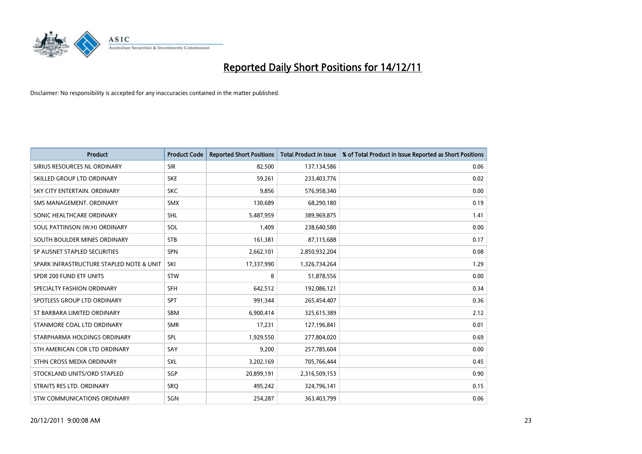

| <b>Product</b>                           | <b>Product Code</b> | <b>Reported Short Positions</b> | <b>Total Product in Issue</b> | % of Total Product in Issue Reported as Short Positions |
|------------------------------------------|---------------------|---------------------------------|-------------------------------|---------------------------------------------------------|
| SIRIUS RESOURCES NL ORDINARY             | <b>SIR</b>          | 82,500                          | 137,134,586                   | 0.06                                                    |
| SKILLED GROUP LTD ORDINARY               | <b>SKE</b>          | 59,261                          | 233,403,776                   | 0.02                                                    |
| SKY CITY ENTERTAIN, ORDINARY             | <b>SKC</b>          | 9,856                           | 576,958,340                   | 0.00                                                    |
| SMS MANAGEMENT, ORDINARY                 | <b>SMX</b>          | 130,689                         | 68,290,180                    | 0.19                                                    |
| SONIC HEALTHCARE ORDINARY                | <b>SHL</b>          | 5,487,959                       | 389,969,875                   | 1.41                                                    |
| SOUL PATTINSON (W.H) ORDINARY            | SOL                 | 1,409                           | 238,640,580                   | 0.00                                                    |
| SOUTH BOULDER MINES ORDINARY             | <b>STB</b>          | 161,381                         | 87,115,688                    | 0.17                                                    |
| SP AUSNET STAPLED SECURITIES             | SPN                 | 2,662,101                       | 2,850,932,204                 | 0.08                                                    |
| SPARK INFRASTRUCTURE STAPLED NOTE & UNIT | SKI                 | 17,337,990                      | 1,326,734,264                 | 1.29                                                    |
| SPDR 200 FUND ETF UNITS                  | <b>STW</b>          | 8                               | 51,878,556                    | 0.00                                                    |
| SPECIALTY FASHION ORDINARY               | <b>SFH</b>          | 642,512                         | 192,086,121                   | 0.34                                                    |
| SPOTLESS GROUP LTD ORDINARY              | <b>SPT</b>          | 991,344                         | 265,454,407                   | 0.36                                                    |
| ST BARBARA LIMITED ORDINARY              | <b>SBM</b>          | 6,900,414                       | 325,615,389                   | 2.12                                                    |
| STANMORE COAL LTD ORDINARY               | <b>SMR</b>          | 17,231                          | 127,196,841                   | 0.01                                                    |
| STARPHARMA HOLDINGS ORDINARY             | SPL                 | 1,929,550                       | 277,804,020                   | 0.69                                                    |
| STH AMERICAN COR LTD ORDINARY            | SAY                 | 9,200                           | 257,785,604                   | 0.00                                                    |
| STHN CROSS MEDIA ORDINARY                | SXL                 | 3,202,169                       | 705,766,444                   | 0.45                                                    |
| STOCKLAND UNITS/ORD STAPLED              | SGP                 | 20,899,191                      | 2,316,509,153                 | 0.90                                                    |
| STRAITS RES LTD. ORDINARY                | SRQ                 | 495,242                         | 324,796,141                   | 0.15                                                    |
| STW COMMUNICATIONS ORDINARY              | SGN                 | 254,287                         | 363,403,799                   | 0.06                                                    |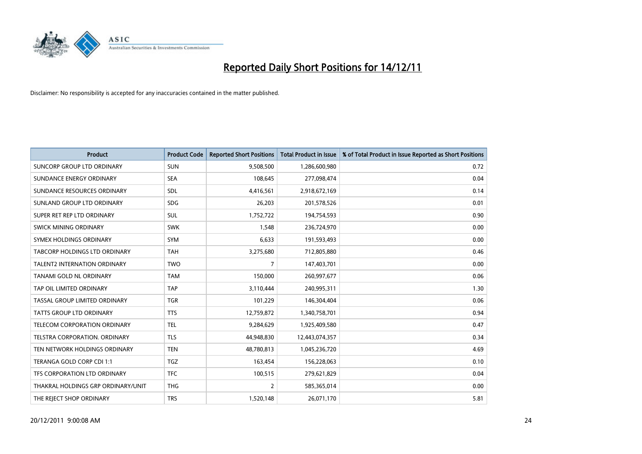

| <b>Product</b>                       | <b>Product Code</b> | <b>Reported Short Positions</b> | <b>Total Product in Issue</b> | % of Total Product in Issue Reported as Short Positions |
|--------------------------------------|---------------------|---------------------------------|-------------------------------|---------------------------------------------------------|
| <b>SUNCORP GROUP LTD ORDINARY</b>    | <b>SUN</b>          | 9,508,500                       | 1,286,600,980                 | 0.72                                                    |
| SUNDANCE ENERGY ORDINARY             | <b>SEA</b>          | 108,645                         | 277,098,474                   | 0.04                                                    |
| SUNDANCE RESOURCES ORDINARY          | <b>SDL</b>          | 4,416,561                       | 2,918,672,169                 | 0.14                                                    |
| SUNLAND GROUP LTD ORDINARY           | <b>SDG</b>          | 26,203                          | 201,578,526                   | 0.01                                                    |
| SUPER RET REP LTD ORDINARY           | <b>SUL</b>          | 1,752,722                       | 194,754,593                   | 0.90                                                    |
| SWICK MINING ORDINARY                | <b>SWK</b>          | 1,548                           | 236,724,970                   | 0.00                                                    |
| SYMEX HOLDINGS ORDINARY              | <b>SYM</b>          | 6,633                           | 191,593,493                   | 0.00                                                    |
| TABCORP HOLDINGS LTD ORDINARY        | <b>TAH</b>          | 3,275,680                       | 712,805,880                   | 0.46                                                    |
| <b>TALENT2 INTERNATION ORDINARY</b>  | <b>TWO</b>          | 7                               | 147,403,701                   | 0.00                                                    |
| TANAMI GOLD NL ORDINARY              | <b>TAM</b>          | 150,000                         | 260,997,677                   | 0.06                                                    |
| TAP OIL LIMITED ORDINARY             | <b>TAP</b>          | 3,110,444                       | 240,995,311                   | 1.30                                                    |
| <b>TASSAL GROUP LIMITED ORDINARY</b> | <b>TGR</b>          | 101,229                         | 146,304,404                   | 0.06                                                    |
| TATTS GROUP LTD ORDINARY             | <b>TTS</b>          | 12,759,872                      | 1,340,758,701                 | 0.94                                                    |
| TELECOM CORPORATION ORDINARY         | <b>TEL</b>          | 9,284,629                       | 1,925,409,580                 | 0.47                                                    |
| <b>TELSTRA CORPORATION, ORDINARY</b> | <b>TLS</b>          | 44,948,830                      | 12,443,074,357                | 0.34                                                    |
| TEN NETWORK HOLDINGS ORDINARY        | <b>TEN</b>          | 48,780,813                      | 1,045,236,720                 | 4.69                                                    |
| TERANGA GOLD CORP CDI 1:1            | <b>TGZ</b>          | 163,454                         | 156,228,063                   | 0.10                                                    |
| TFS CORPORATION LTD ORDINARY         | <b>TFC</b>          | 100,515                         | 279,621,829                   | 0.04                                                    |
| THAKRAL HOLDINGS GRP ORDINARY/UNIT   | <b>THG</b>          | 2                               | 585,365,014                   | 0.00                                                    |
| THE REJECT SHOP ORDINARY             | <b>TRS</b>          | 1,520,148                       | 26,071,170                    | 5.81                                                    |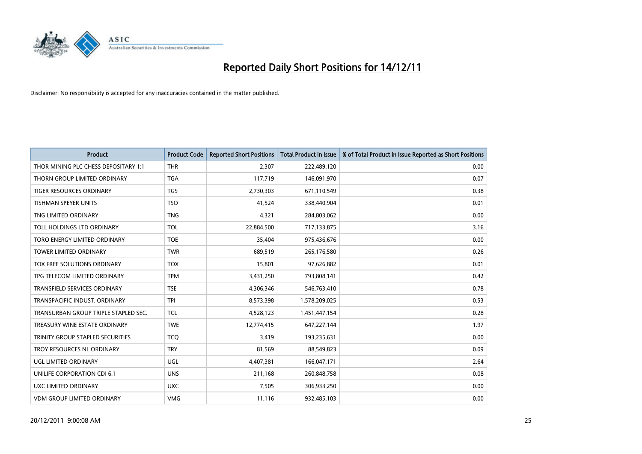

| <b>Product</b>                       | <b>Product Code</b> | <b>Reported Short Positions</b> | <b>Total Product in Issue</b> | % of Total Product in Issue Reported as Short Positions |
|--------------------------------------|---------------------|---------------------------------|-------------------------------|---------------------------------------------------------|
| THOR MINING PLC CHESS DEPOSITARY 1:1 | <b>THR</b>          | 2,307                           | 222,489,120                   | 0.00                                                    |
| THORN GROUP LIMITED ORDINARY         | <b>TGA</b>          | 117,719                         | 146,091,970                   | 0.07                                                    |
| <b>TIGER RESOURCES ORDINARY</b>      | <b>TGS</b>          | 2,730,303                       | 671,110,549                   | 0.38                                                    |
| TISHMAN SPEYER UNITS                 | <b>TSO</b>          | 41,524                          | 338,440,904                   | 0.01                                                    |
| TNG LIMITED ORDINARY                 | <b>TNG</b>          | 4,321                           | 284,803,062                   | 0.00                                                    |
| TOLL HOLDINGS LTD ORDINARY           | <b>TOL</b>          | 22,884,500                      | 717,133,875                   | 3.16                                                    |
| TORO ENERGY LIMITED ORDINARY         | <b>TOE</b>          | 35,404                          | 975,436,676                   | 0.00                                                    |
| <b>TOWER LIMITED ORDINARY</b>        | <b>TWR</b>          | 689,519                         | 265,176,580                   | 0.26                                                    |
| TOX FREE SOLUTIONS ORDINARY          | <b>TOX</b>          | 15,801                          | 97,626,882                    | 0.01                                                    |
| TPG TELECOM LIMITED ORDINARY         | <b>TPM</b>          | 3,431,250                       | 793,808,141                   | 0.42                                                    |
| TRANSFIELD SERVICES ORDINARY         | <b>TSE</b>          | 4,306,346                       | 546,763,410                   | 0.78                                                    |
| TRANSPACIFIC INDUST, ORDINARY        | <b>TPI</b>          | 8,573,398                       | 1,578,209,025                 | 0.53                                                    |
| TRANSURBAN GROUP TRIPLE STAPLED SEC. | <b>TCL</b>          | 4,528,123                       | 1,451,447,154                 | 0.28                                                    |
| TREASURY WINE ESTATE ORDINARY        | <b>TWE</b>          | 12,774,415                      | 647,227,144                   | 1.97                                                    |
| TRINITY GROUP STAPLED SECURITIES     | <b>TCO</b>          | 3,419                           | 193,235,631                   | 0.00                                                    |
| TROY RESOURCES NL ORDINARY           | <b>TRY</b>          | 81,569                          | 88,549,823                    | 0.09                                                    |
| UGL LIMITED ORDINARY                 | UGL                 | 4,407,381                       | 166,047,171                   | 2.64                                                    |
| UNILIFE CORPORATION CDI 6:1          | <b>UNS</b>          | 211,168                         | 260,848,758                   | 0.08                                                    |
| UXC LIMITED ORDINARY                 | <b>UXC</b>          | 7,505                           | 306,933,250                   | 0.00                                                    |
| <b>VDM GROUP LIMITED ORDINARY</b>    | <b>VMG</b>          | 11,116                          | 932,485,103                   | 0.00                                                    |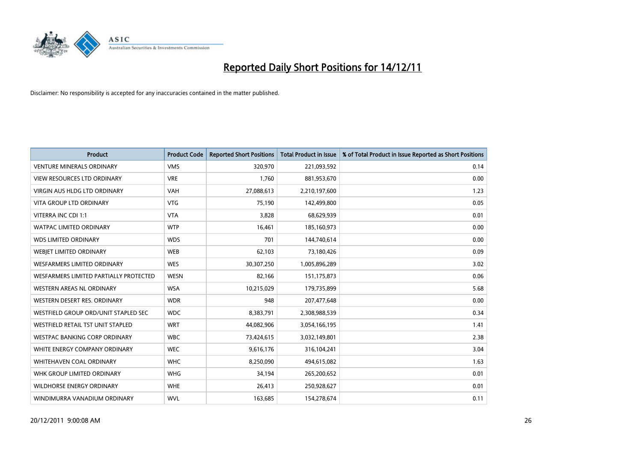

| <b>Product</b>                         | <b>Product Code</b> | <b>Reported Short Positions</b> | <b>Total Product in Issue</b> | % of Total Product in Issue Reported as Short Positions |
|----------------------------------------|---------------------|---------------------------------|-------------------------------|---------------------------------------------------------|
| <b>VENTURE MINERALS ORDINARY</b>       | <b>VMS</b>          | 320,970                         | 221,093,592                   | 0.14                                                    |
| <b>VIEW RESOURCES LTD ORDINARY</b>     | <b>VRE</b>          | 1.760                           | 881,953,670                   | 0.00                                                    |
| <b>VIRGIN AUS HLDG LTD ORDINARY</b>    | <b>VAH</b>          | 27,088,613                      | 2,210,197,600                 | 1.23                                                    |
| VITA GROUP LTD ORDINARY                | <b>VTG</b>          | 75,190                          | 142,499,800                   | 0.05                                                    |
| VITERRA INC CDI 1:1                    | <b>VTA</b>          | 3,828                           | 68,629,939                    | 0.01                                                    |
| <b>WATPAC LIMITED ORDINARY</b>         | <b>WTP</b>          | 16,461                          | 185,160,973                   | 0.00                                                    |
| WDS LIMITED ORDINARY                   | <b>WDS</b>          | 701                             | 144,740,614                   | 0.00                                                    |
| WEBIET LIMITED ORDINARY                | <b>WEB</b>          | 62,103                          | 73,180,426                    | 0.09                                                    |
| <b>WESFARMERS LIMITED ORDINARY</b>     | <b>WES</b>          | 30,307,250                      | 1,005,896,289                 | 3.02                                                    |
| WESFARMERS LIMITED PARTIALLY PROTECTED | <b>WESN</b>         | 82,166                          | 151, 175, 873                 | 0.06                                                    |
| <b>WESTERN AREAS NL ORDINARY</b>       | <b>WSA</b>          | 10,215,029                      | 179,735,899                   | 5.68                                                    |
| WESTERN DESERT RES. ORDINARY           | <b>WDR</b>          | 948                             | 207,477,648                   | 0.00                                                    |
| WESTFIELD GROUP ORD/UNIT STAPLED SEC   | <b>WDC</b>          | 8,383,791                       | 2,308,988,539                 | 0.34                                                    |
| WESTFIELD RETAIL TST UNIT STAPLED      | <b>WRT</b>          | 44,082,906                      | 3,054,166,195                 | 1.41                                                    |
| <b>WESTPAC BANKING CORP ORDINARY</b>   | <b>WBC</b>          | 73,424,615                      | 3,032,149,801                 | 2.38                                                    |
| WHITE ENERGY COMPANY ORDINARY          | <b>WEC</b>          | 9,616,176                       | 316,104,241                   | 3.04                                                    |
| <b>WHITEHAVEN COAL ORDINARY</b>        | <b>WHC</b>          | 8,250,090                       | 494,615,082                   | 1.63                                                    |
| WHK GROUP LIMITED ORDINARY             | <b>WHG</b>          | 34,194                          | 265,200,652                   | 0.01                                                    |
| <b>WILDHORSE ENERGY ORDINARY</b>       | <b>WHE</b>          | 26,413                          | 250,928,627                   | 0.01                                                    |
| WINDIMURRA VANADIUM ORDINARY           | <b>WVL</b>          | 163,685                         | 154,278,674                   | 0.11                                                    |